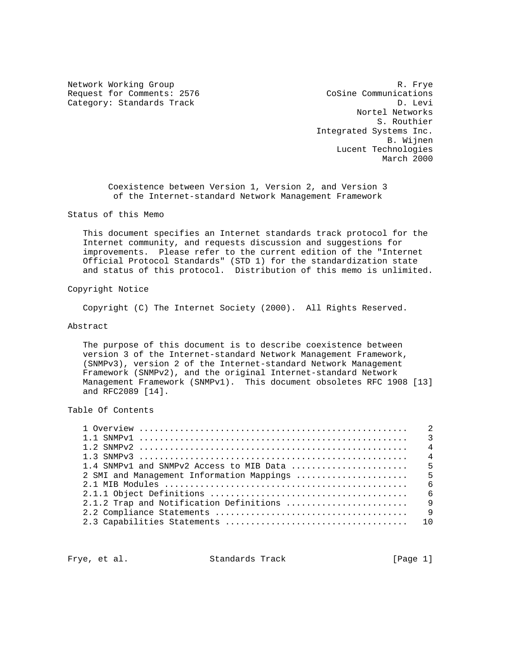Request for Comments: 2576 Cosine Communications<br>Category: Standards Track Category: Category: Category: Category: Category: Category: Category: Category: Category Category: Standards Track

Network Working Group and the set of the set of the set of the set of the set of the set of the set of the set of the set of the set of the set of the set of the set of the set of the set of the set of the set of the set o Nortel Networks S. Routhier Integrated Systems Inc. B. Wijnen Lucent Technologies March 2000

> Coexistence between Version 1, Version 2, and Version 3 of the Internet-standard Network Management Framework

Status of this Memo

 This document specifies an Internet standards track protocol for the Internet community, and requests discussion and suggestions for improvements. Please refer to the current edition of the "Internet Official Protocol Standards" (STD 1) for the standardization state and status of this protocol. Distribution of this memo is unlimited.

Copyright Notice

Copyright (C) The Internet Society (2000). All Rights Reserved.

## Abstract

 The purpose of this document is to describe coexistence between version 3 of the Internet-standard Network Management Framework, (SNMPv3), version 2 of the Internet-standard Network Management Framework (SNMPv2), and the original Internet-standard Network Management Framework (SNMPv1). This document obsoletes RFC 1908 [13] and RFC2089 [14].

Table Of Contents

Frye, et al. Standards Track [Page 1]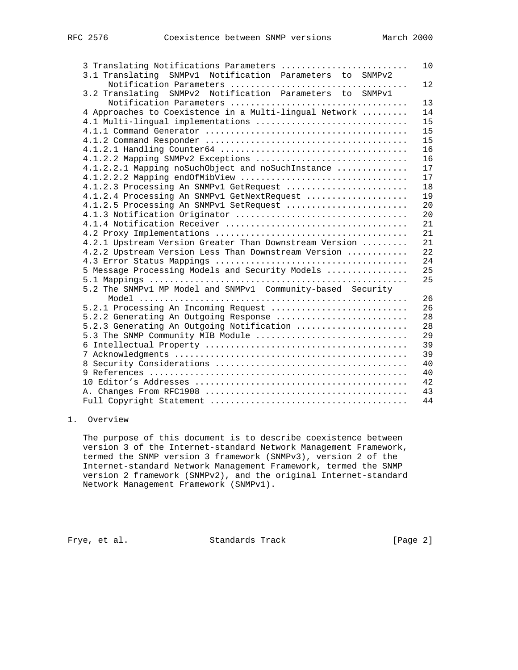| 3 Translating Notifications Parameters                      | 10 |
|-------------------------------------------------------------|----|
| 3.1 Translating SNMPv1 Notification Parameters to SNMPv2    |    |
|                                                             | 12 |
| 3.2 Translating SNMPv2 Notification Parameters to SNMPv1    |    |
|                                                             | 13 |
| 4 Approaches to Coexistence in a Multi-lingual Network      | 14 |
| 4.1 Multi-lingual implementations                           | 15 |
|                                                             | 15 |
|                                                             | 15 |
|                                                             | 16 |
| 4.1.2.2 Mapping SNMPv2 Exceptions                           | 16 |
| 4.1.2.2.1 Mapping noSuchObject and noSuchInstance           | 17 |
| 4.1.2.2.2 Mapping endOfMibView                              | 17 |
| 4.1.2.3 Processing An SNMPv1 GetRequest                     | 18 |
| 4.1.2.4 Processing An SNMPv1 GetNextRequest                 | 19 |
| 4.1.2.5 Processing An SNMPv1 SetRequest                     | 20 |
|                                                             | 20 |
|                                                             | 21 |
|                                                             | 21 |
| 4.2.1 Upstream Version Greater Than Downstream Version      | 21 |
| 4.2.2 Upstream Version Less Than Downstream Version         | 22 |
|                                                             | 24 |
| 5 Message Processing Models and Security Models             | 25 |
|                                                             | 25 |
| 5.2 The SNMPv1 MP Model and SNMPv1 Community-based Security |    |
|                                                             | 26 |
| 5.2.1 Processing An Incoming Request                        | 26 |
| 5.2.2 Generating An Outgoing Response                       | 28 |
| 5.2.3 Generating An Outgoing Notification                   | 28 |
| 5.3 The SNMP Community MIB Module                           | 29 |
|                                                             | 39 |
|                                                             | 39 |
|                                                             | 40 |
|                                                             | 40 |
|                                                             | 42 |
|                                                             | 43 |
|                                                             | 44 |
|                                                             |    |

# 1. Overview

 The purpose of this document is to describe coexistence between version 3 of the Internet-standard Network Management Framework, termed the SNMP version 3 framework (SNMPv3), version 2 of the Internet-standard Network Management Framework, termed the SNMP version 2 framework (SNMPv2), and the original Internet-standard Network Management Framework (SNMPv1).

Frye, et al. Standards Track [Page 2]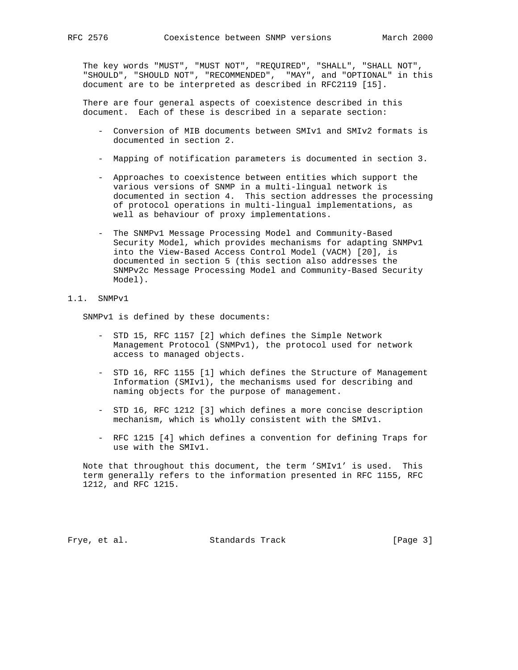The key words "MUST", "MUST NOT", "REQUIRED", "SHALL", "SHALL NOT", "SHOULD", "SHOULD NOT", "RECOMMENDED", "MAY", and "OPTIONAL" in this document are to be interpreted as described in RFC2119 [15].

 There are four general aspects of coexistence described in this document. Each of these is described in a separate section:

- Conversion of MIB documents between SMIv1 and SMIv2 formats is documented in section 2.
- Mapping of notification parameters is documented in section 3.
- Approaches to coexistence between entities which support the various versions of SNMP in a multi-lingual network is documented in section 4. This section addresses the processing of protocol operations in multi-lingual implementations, as well as behaviour of proxy implementations.
- The SNMPv1 Message Processing Model and Community-Based Security Model, which provides mechanisms for adapting SNMPv1 into the View-Based Access Control Model (VACM) [20], is documented in section 5 (this section also addresses the SNMPv2c Message Processing Model and Community-Based Security Model).

## 1.1. SNMPv1

SNMPv1 is defined by these documents:

- STD 15, RFC 1157 [2] which defines the Simple Network Management Protocol (SNMPv1), the protocol used for network access to managed objects.
- STD 16, RFC 1155 [1] which defines the Structure of Management Information (SMIv1), the mechanisms used for describing and naming objects for the purpose of management.
- STD 16, RFC 1212 [3] which defines a more concise description mechanism, which is wholly consistent with the SMIv1.
- RFC 1215 [4] which defines a convention for defining Traps for use with the SMIv1.

 Note that throughout this document, the term 'SMIv1' is used. This term generally refers to the information presented in RFC 1155, RFC 1212, and RFC 1215.

Frye, et al. Standards Track [Page 3]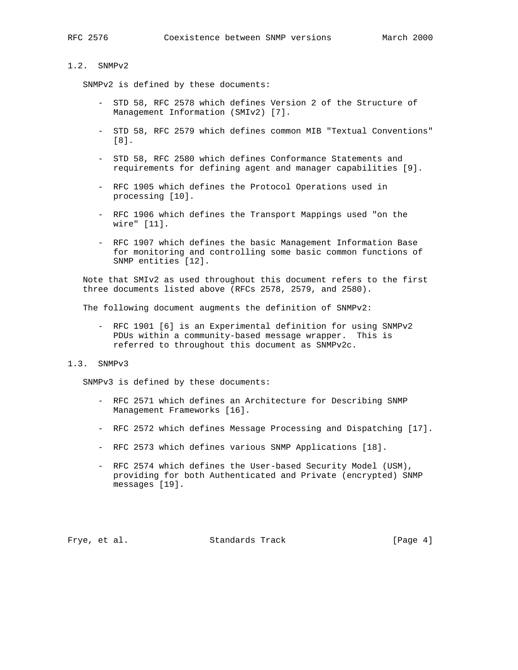## 1.2. SNMPv2

SNMPv2 is defined by these documents:

- STD 58, RFC 2578 which defines Version 2 of the Structure of Management Information (SMIv2) [7].
- STD 58, RFC 2579 which defines common MIB "Textual Conventions" [8].
- STD 58, RFC 2580 which defines Conformance Statements and requirements for defining agent and manager capabilities [9].
- RFC 1905 which defines the Protocol Operations used in processing [10].
- RFC 1906 which defines the Transport Mappings used "on the wire" [11].
- RFC 1907 which defines the basic Management Information Base for monitoring and controlling some basic common functions of SNMP entities [12].

 Note that SMIv2 as used throughout this document refers to the first three documents listed above (RFCs 2578, 2579, and 2580).

The following document augments the definition of SNMPv2:

 - RFC 1901 [6] is an Experimental definition for using SNMPv2 PDUs within a community-based message wrapper. This is referred to throughout this document as SNMPv2c.

### 1.3. SNMPv3

SNMPv3 is defined by these documents:

- RFC 2571 which defines an Architecture for Describing SNMP Management Frameworks [16].
- RFC 2572 which defines Message Processing and Dispatching [17].
- RFC 2573 which defines various SNMP Applications [18].
- RFC 2574 which defines the User-based Security Model (USM), providing for both Authenticated and Private (encrypted) SNMP messages [19].

Frye, et al. Standards Track [Page 4]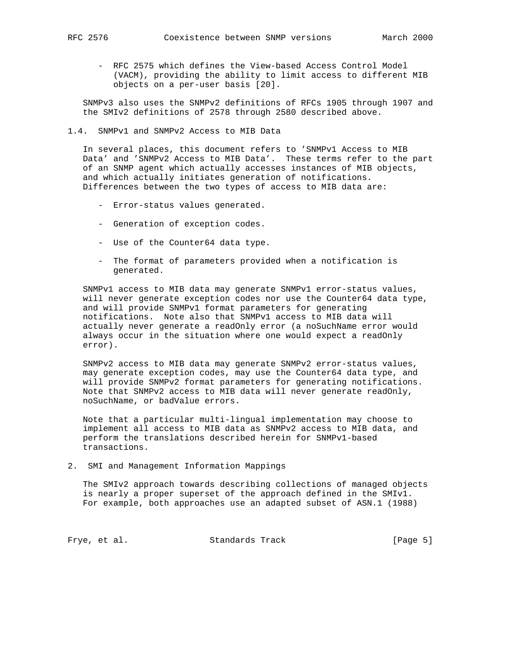- RFC 2575 which defines the View-based Access Control Model (VACM), providing the ability to limit access to different MIB objects on a per-user basis [20].

 SNMPv3 also uses the SNMPv2 definitions of RFCs 1905 through 1907 and the SMIv2 definitions of 2578 through 2580 described above.

1.4. SNMPv1 and SNMPv2 Access to MIB Data

 In several places, this document refers to 'SNMPv1 Access to MIB Data' and 'SNMPv2 Access to MIB Data'. These terms refer to the part of an SNMP agent which actually accesses instances of MIB objects, and which actually initiates generation of notifications. Differences between the two types of access to MIB data are:

- Error-status values generated.
- Generation of exception codes.
- Use of the Counter64 data type.
- The format of parameters provided when a notification is generated.

 SNMPv1 access to MIB data may generate SNMPv1 error-status values, will never generate exception codes nor use the Counter64 data type, and will provide SNMPv1 format parameters for generating notifications. Note also that SNMPv1 access to MIB data will actually never generate a readOnly error (a noSuchName error would always occur in the situation where one would expect a readOnly error).

 SNMPv2 access to MIB data may generate SNMPv2 error-status values, may generate exception codes, may use the Counter64 data type, and will provide SNMPv2 format parameters for generating notifications. Note that SNMPv2 access to MIB data will never generate readOnly, noSuchName, or badValue errors.

 Note that a particular multi-lingual implementation may choose to implement all access to MIB data as SNMPv2 access to MIB data, and perform the translations described herein for SNMPv1-based transactions.

2. SMI and Management Information Mappings

 The SMIv2 approach towards describing collections of managed objects is nearly a proper superset of the approach defined in the SMIv1. For example, both approaches use an adapted subset of ASN.1 (1988)

Frye, et al. Standards Track [Page 5]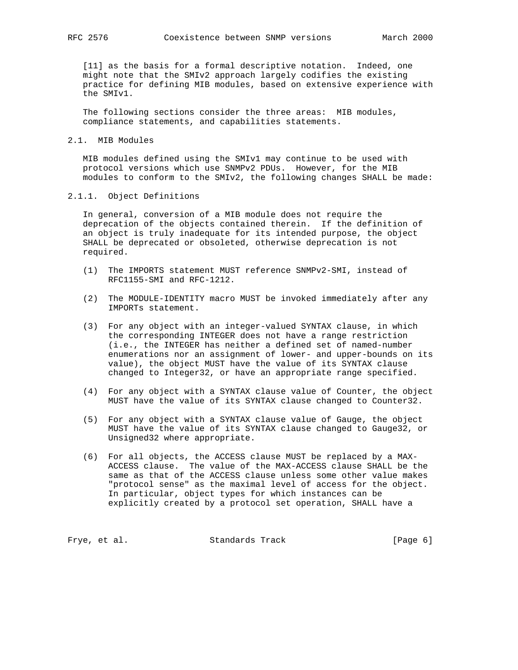[11] as the basis for a formal descriptive notation. Indeed, one might note that the SMIv2 approach largely codifies the existing practice for defining MIB modules, based on extensive experience with the SMIv1.

 The following sections consider the three areas: MIB modules, compliance statements, and capabilities statements.

### 2.1. MIB Modules

 MIB modules defined using the SMIv1 may continue to be used with protocol versions which use SNMPv2 PDUs. However, for the MIB modules to conform to the SMIv2, the following changes SHALL be made:

## 2.1.1. Object Definitions

 In general, conversion of a MIB module does not require the deprecation of the objects contained therein. If the definition of an object is truly inadequate for its intended purpose, the object SHALL be deprecated or obsoleted, otherwise deprecation is not required.

- (1) The IMPORTS statement MUST reference SNMPv2-SMI, instead of RFC1155-SMI and RFC-1212.
- (2) The MODULE-IDENTITY macro MUST be invoked immediately after any IMPORTs statement.
- (3) For any object with an integer-valued SYNTAX clause, in which the corresponding INTEGER does not have a range restriction (i.e., the INTEGER has neither a defined set of named-number enumerations nor an assignment of lower- and upper-bounds on its value), the object MUST have the value of its SYNTAX clause changed to Integer32, or have an appropriate range specified.
- (4) For any object with a SYNTAX clause value of Counter, the object MUST have the value of its SYNTAX clause changed to Counter32.
- (5) For any object with a SYNTAX clause value of Gauge, the object MUST have the value of its SYNTAX clause changed to Gauge32, or Unsigned32 where appropriate.
- (6) For all objects, the ACCESS clause MUST be replaced by a MAX- ACCESS clause. The value of the MAX-ACCESS clause SHALL be the same as that of the ACCESS clause unless some other value makes "protocol sense" as the maximal level of access for the object. In particular, object types for which instances can be explicitly created by a protocol set operation, SHALL have a

Frye, et al. Standards Track [Page 6]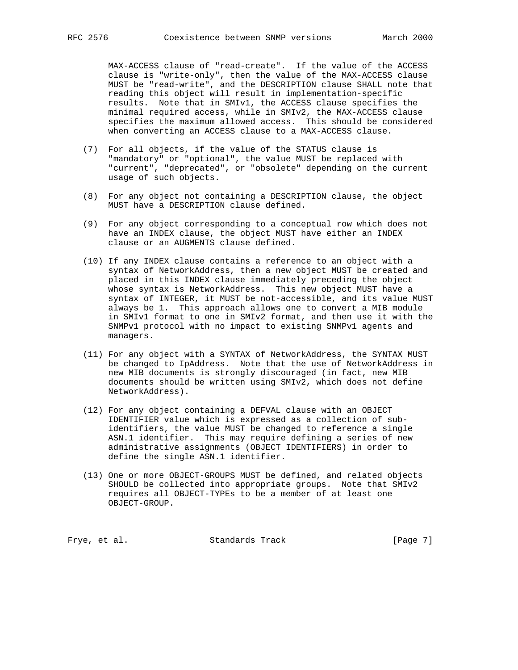MAX-ACCESS clause of "read-create". If the value of the ACCESS clause is "write-only", then the value of the MAX-ACCESS clause MUST be "read-write", and the DESCRIPTION clause SHALL note that reading this object will result in implementation-specific results. Note that in SMIv1, the ACCESS clause specifies the minimal required access, while in SMIv2, the MAX-ACCESS clause specifies the maximum allowed access. This should be considered when converting an ACCESS clause to a MAX-ACCESS clause.

- (7) For all objects, if the value of the STATUS clause is "mandatory" or "optional", the value MUST be replaced with "current", "deprecated", or "obsolete" depending on the current usage of such objects.
- (8) For any object not containing a DESCRIPTION clause, the object MUST have a DESCRIPTION clause defined.
- (9) For any object corresponding to a conceptual row which does not have an INDEX clause, the object MUST have either an INDEX clause or an AUGMENTS clause defined.
- (10) If any INDEX clause contains a reference to an object with a syntax of NetworkAddress, then a new object MUST be created and placed in this INDEX clause immediately preceding the object whose syntax is NetworkAddress. This new object MUST have a syntax of INTEGER, it MUST be not-accessible, and its value MUST always be 1. This approach allows one to convert a MIB module in SMIv1 format to one in SMIv2 format, and then use it with the SNMPv1 protocol with no impact to existing SNMPv1 agents and managers.
- (11) For any object with a SYNTAX of NetworkAddress, the SYNTAX MUST be changed to IpAddress. Note that the use of NetworkAddress in new MIB documents is strongly discouraged (in fact, new MIB documents should be written using SMIv2, which does not define NetworkAddress).
- (12) For any object containing a DEFVAL clause with an OBJECT IDENTIFIER value which is expressed as a collection of sub identifiers, the value MUST be changed to reference a single ASN.1 identifier. This may require defining a series of new administrative assignments (OBJECT IDENTIFIERS) in order to define the single ASN.1 identifier.
- (13) One or more OBJECT-GROUPS MUST be defined, and related objects SHOULD be collected into appropriate groups. Note that SMIv2 requires all OBJECT-TYPEs to be a member of at least one OBJECT-GROUP.

Frye, et al. Standards Track [Page 7]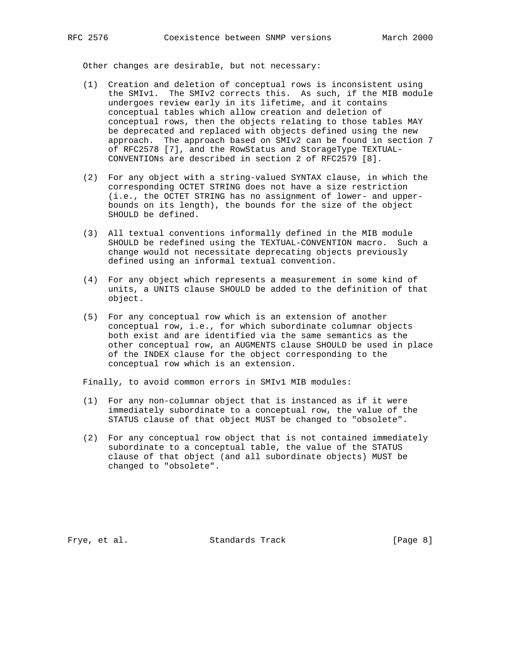Other changes are desirable, but not necessary:

- (1) Creation and deletion of conceptual rows is inconsistent using the SMIv1. The SMIv2 corrects this. As such, if the MIB module undergoes review early in its lifetime, and it contains conceptual tables which allow creation and deletion of conceptual rows, then the objects relating to those tables MAY be deprecated and replaced with objects defined using the new approach. The approach based on SMIv2 can be found in section 7 of RFC2578 [7], and the RowStatus and StorageType TEXTUAL- CONVENTIONs are described in section 2 of RFC2579 [8].
- (2) For any object with a string-valued SYNTAX clause, in which the corresponding OCTET STRING does not have a size restriction (i.e., the OCTET STRING has no assignment of lower- and upper bounds on its length), the bounds for the size of the object SHOULD be defined.
- (3) All textual conventions informally defined in the MIB module SHOULD be redefined using the TEXTUAL-CONVENTION macro. Such a change would not necessitate deprecating objects previously defined using an informal textual convention.
- (4) For any object which represents a measurement in some kind of units, a UNITS clause SHOULD be added to the definition of that object.
- (5) For any conceptual row which is an extension of another conceptual row, i.e., for which subordinate columnar objects both exist and are identified via the same semantics as the other conceptual row, an AUGMENTS clause SHOULD be used in place of the INDEX clause for the object corresponding to the conceptual row which is an extension.

Finally, to avoid common errors in SMIv1 MIB modules:

- (1) For any non-columnar object that is instanced as if it were immediately subordinate to a conceptual row, the value of the STATUS clause of that object MUST be changed to "obsolete".
- (2) For any conceptual row object that is not contained immediately subordinate to a conceptual table, the value of the STATUS clause of that object (and all subordinate objects) MUST be changed to "obsolete".

Frye, et al. Standards Track [Page 8]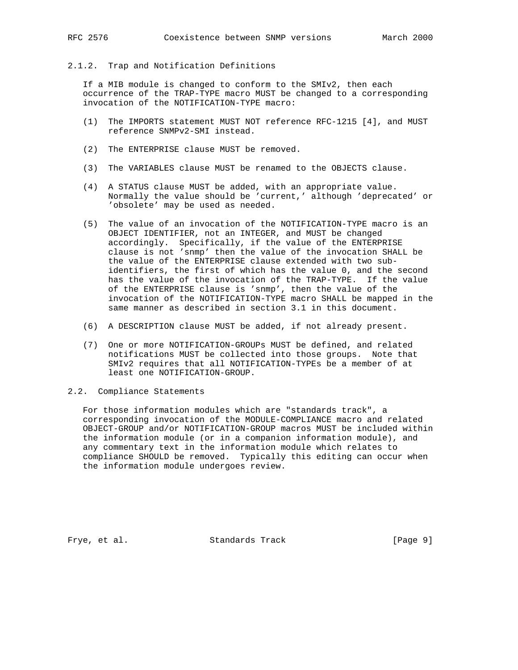## 2.1.2. Trap and Notification Definitions

 If a MIB module is changed to conform to the SMIv2, then each occurrence of the TRAP-TYPE macro MUST be changed to a corresponding invocation of the NOTIFICATION-TYPE macro:

- (1) The IMPORTS statement MUST NOT reference RFC-1215 [4], and MUST reference SNMPv2-SMI instead.
- (2) The ENTERPRISE clause MUST be removed.
- (3) The VARIABLES clause MUST be renamed to the OBJECTS clause.
- (4) A STATUS clause MUST be added, with an appropriate value. Normally the value should be 'current,' although 'deprecated' or 'obsolete' may be used as needed.
- (5) The value of an invocation of the NOTIFICATION-TYPE macro is an OBJECT IDENTIFIER, not an INTEGER, and MUST be changed accordingly. Specifically, if the value of the ENTERPRISE clause is not 'snmp' then the value of the invocation SHALL be the value of the ENTERPRISE clause extended with two sub identifiers, the first of which has the value 0, and the second has the value of the invocation of the TRAP-TYPE. If the value of the ENTERPRISE clause is 'snmp', then the value of the invocation of the NOTIFICATION-TYPE macro SHALL be mapped in the same manner as described in section 3.1 in this document.
- (6) A DESCRIPTION clause MUST be added, if not already present.
- (7) One or more NOTIFICATION-GROUPs MUST be defined, and related notifications MUST be collected into those groups. Note that SMIv2 requires that all NOTIFICATION-TYPEs be a member of at least one NOTIFICATION-GROUP.

## 2.2. Compliance Statements

 For those information modules which are "standards track", a corresponding invocation of the MODULE-COMPLIANCE macro and related OBJECT-GROUP and/or NOTIFICATION-GROUP macros MUST be included within the information module (or in a companion information module), and any commentary text in the information module which relates to compliance SHOULD be removed. Typically this editing can occur when the information module undergoes review.

Frye, et al. Standards Track [Page 9]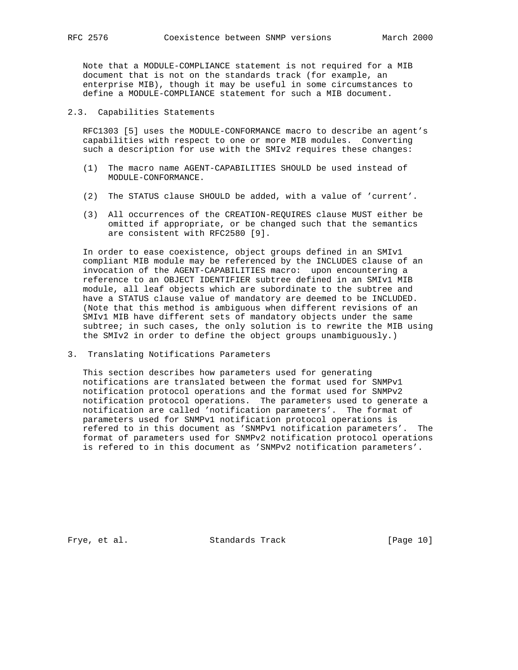Note that a MODULE-COMPLIANCE statement is not required for a MIB document that is not on the standards track (for example, an enterprise MIB), though it may be useful in some circumstances to define a MODULE-COMPLIANCE statement for such a MIB document.

2.3. Capabilities Statements

 RFC1303 [5] uses the MODULE-CONFORMANCE macro to describe an agent's capabilities with respect to one or more MIB modules. Converting such a description for use with the SMIv2 requires these changes:

- (1) The macro name AGENT-CAPABILITIES SHOULD be used instead of MODULE-CONFORMANCE.
- (2) The STATUS clause SHOULD be added, with a value of 'current'.
- (3) All occurrences of the CREATION-REQUIRES clause MUST either be omitted if appropriate, or be changed such that the semantics are consistent with RFC2580 [9].

 In order to ease coexistence, object groups defined in an SMIv1 compliant MIB module may be referenced by the INCLUDES clause of an invocation of the AGENT-CAPABILITIES macro: upon encountering a reference to an OBJECT IDENTIFIER subtree defined in an SMIv1 MIB module, all leaf objects which are subordinate to the subtree and have a STATUS clause value of mandatory are deemed to be INCLUDED. (Note that this method is ambiguous when different revisions of an SMIv1 MIB have different sets of mandatory objects under the same subtree; in such cases, the only solution is to rewrite the MIB using the SMIv2 in order to define the object groups unambiguously.)

3. Translating Notifications Parameters

 This section describes how parameters used for generating notifications are translated between the format used for SNMPv1 notification protocol operations and the format used for SNMPv2 notification protocol operations. The parameters used to generate a notification are called 'notification parameters'. The format of parameters used for SNMPv1 notification protocol operations is refered to in this document as 'SNMPv1 notification parameters'. The format of parameters used for SNMPv2 notification protocol operations is refered to in this document as 'SNMPv2 notification parameters'.

Frye, et al. Standards Track [Page 10]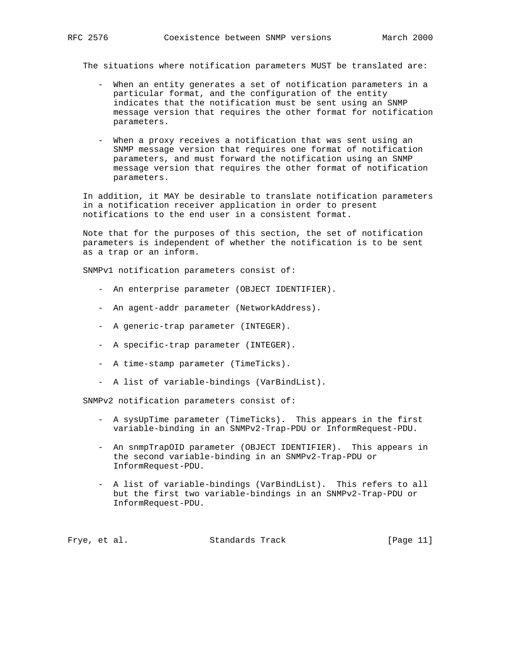The situations where notification parameters MUST be translated are:

- When an entity generates a set of notification parameters in a particular format, and the configuration of the entity indicates that the notification must be sent using an SNMP message version that requires the other format for notification parameters.
- When a proxy receives a notification that was sent using an SNMP message version that requires one format of notification parameters, and must forward the notification using an SNMP message version that requires the other format of notification parameters.

 In addition, it MAY be desirable to translate notification parameters in a notification receiver application in order to present notifications to the end user in a consistent format.

 Note that for the purposes of this section, the set of notification parameters is independent of whether the notification is to be sent as a trap or an inform.

SNMPv1 notification parameters consist of:

- An enterprise parameter (OBJECT IDENTIFIER).
- An agent-addr parameter (NetworkAddress).
- A generic-trap parameter (INTEGER).
- A specific-trap parameter (INTEGER).
- A time-stamp parameter (TimeTicks).
- A list of variable-bindings (VarBindList).

SNMPv2 notification parameters consist of:

- A sysUpTime parameter (TimeTicks). This appears in the first variable-binding in an SNMPv2-Trap-PDU or InformRequest-PDU.
- An snmpTrapOID parameter (OBJECT IDENTIFIER). This appears in the second variable-binding in an SNMPv2-Trap-PDU or InformRequest-PDU.
- A list of variable-bindings (VarBindList). This refers to all but the first two variable-bindings in an SNMPv2-Trap-PDU or InformRequest-PDU.

Frye, et al. Standards Track [Page 11]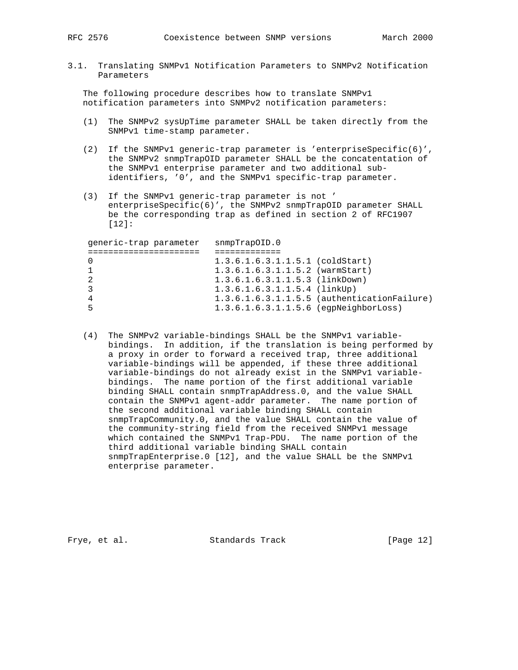3.1. Translating SNMPv1 Notification Parameters to SNMPv2 Notification Parameters

 The following procedure describes how to translate SNMPv1 notification parameters into SNMPv2 notification parameters:

- (1) The SNMPv2 sysUpTime parameter SHALL be taken directly from the SNMPv1 time-stamp parameter.
- (2) If the SNMPv1 generic-trap parameter is 'enterpriseSpecific(6)', the SNMPv2 snmpTrapOID parameter SHALL be the concatentation of the SNMPv1 enterprise parameter and two additional sub identifiers, '0', and the SNMPv1 specific-trap parameter.
- (3) If the SNMPv1 generic-trap parameter is not ' enterpriseSpecific(6)', the SNMPv2 snmpTrapOID parameter SHALL be the corresponding trap as defined in section 2 of RFC1907 [12]:

| generic-trap parameter | snmpTrapOLD.0                           |                                               |
|------------------------|-----------------------------------------|-----------------------------------------------|
|                        |                                         |                                               |
|                        | $1.3.6.1.6.3.1.1.5.1$ (coldStart)       |                                               |
|                        | $1.3.6.1.6.3.1.1.5.2$ (warmStart)       |                                               |
| 2                      | 1.3.6.1.6.3.1.1.5.3 (linkDown)          |                                               |
|                        | $1.3.6.1.6.3.1.1.5.4$ (linkUp)          |                                               |
| 4                      |                                         | $1.3.6.1.6.3.1.1.5.5$ (authenticationFailure) |
| 5                      | $1.3.6.1.6.3.1.1.5.6$ (eqpNeighborLoss) |                                               |
|                        |                                         |                                               |

 (4) The SNMPv2 variable-bindings SHALL be the SNMPv1 variable bindings. In addition, if the translation is being performed by a proxy in order to forward a received trap, three additional variable-bindings will be appended, if these three additional variable-bindings do not already exist in the SNMPv1 variable bindings. The name portion of the first additional variable binding SHALL contain snmpTrapAddress.0, and the value SHALL contain the SNMPv1 agent-addr parameter. The name portion of the second additional variable binding SHALL contain snmpTrapCommunity.0, and the value SHALL contain the value of the community-string field from the received SNMPv1 message which contained the SNMPv1 Trap-PDU. The name portion of the third additional variable binding SHALL contain snmpTrapEnterprise.0 [12], and the value SHALL be the SNMPv1 enterprise parameter.

Frye, et al. Standards Track [Page 12]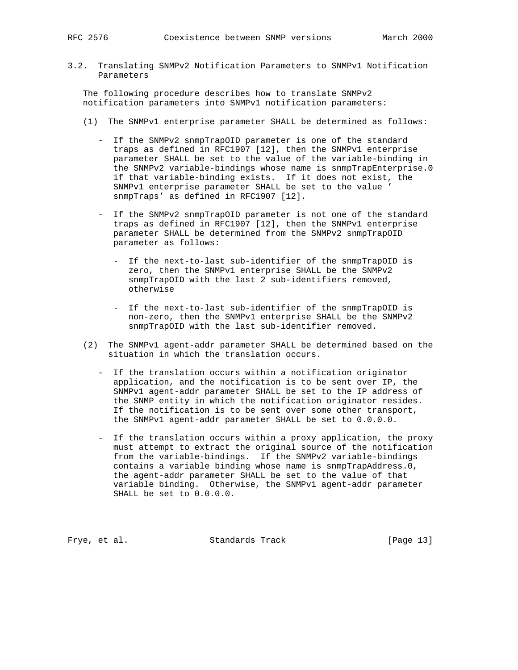3.2. Translating SNMPv2 Notification Parameters to SNMPv1 Notification Parameters

 The following procedure describes how to translate SNMPv2 notification parameters into SNMPv1 notification parameters:

- (1) The SNMPv1 enterprise parameter SHALL be determined as follows:
	- If the SNMPv2 snmpTrapOID parameter is one of the standard traps as defined in RFC1907 [12], then the SNMPv1 enterprise parameter SHALL be set to the value of the variable-binding in the SNMPv2 variable-bindings whose name is snmpTrapEnterprise.0 if that variable-binding exists. If it does not exist, the SNMPv1 enterprise parameter SHALL be set to the value ' snmpTraps' as defined in RFC1907 [12].
	- If the SNMPv2 snmpTrapOID parameter is not one of the standard traps as defined in RFC1907 [12], then the SNMPv1 enterprise parameter SHALL be determined from the SNMPv2 snmpTrapOID parameter as follows:
		- If the next-to-last sub-identifier of the snmpTrapOID is zero, then the SNMPv1 enterprise SHALL be the SNMPv2 snmpTrapOID with the last 2 sub-identifiers removed, otherwise
		- If the next-to-last sub-identifier of the snmpTrapOID is non-zero, then the SNMPv1 enterprise SHALL be the SNMPv2 snmpTrapOID with the last sub-identifier removed.
- (2) The SNMPv1 agent-addr parameter SHALL be determined based on the situation in which the translation occurs.
	- If the translation occurs within a notification originator application, and the notification is to be sent over IP, the SNMPv1 agent-addr parameter SHALL be set to the IP address of the SNMP entity in which the notification originator resides. If the notification is to be sent over some other transport, the SNMPv1 agent-addr parameter SHALL be set to 0.0.0.0.
	- If the translation occurs within a proxy application, the proxy must attempt to extract the original source of the notification from the variable-bindings. If the SNMPv2 variable-bindings contains a variable binding whose name is snmpTrapAddress.0, the agent-addr parameter SHALL be set to the value of that variable binding. Otherwise, the SNMPv1 agent-addr parameter SHALL be set to 0.0.0.0.

Frye, et al. Standards Track [Page 13]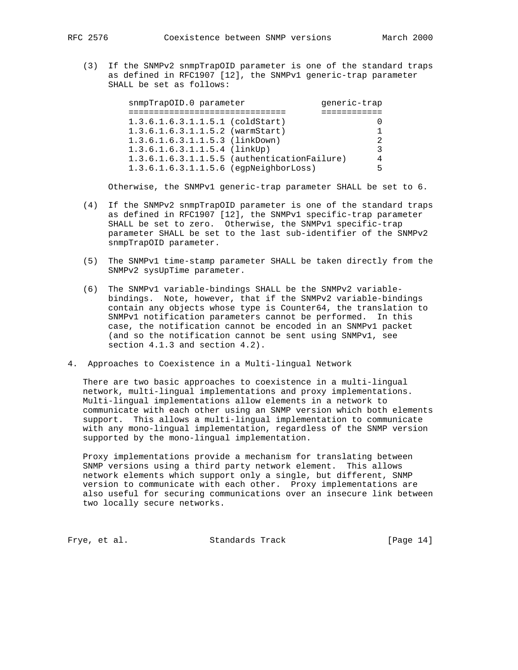(3) If the SNMPv2 snmpTrapOID parameter is one of the standard traps as defined in RFC1907 [12], the SNMPv1 generic-trap parameter SHALL be set as follows:

| snmpTrapOID.0 parameter      |                                             | qeneric-trap |
|------------------------------|---------------------------------------------|--------------|
|                              |                                             |              |
|                              | $1.3.6.1.6.3.1.1.5.1$ (coldStart)           |              |
|                              | $1.3.6.1.6.3.1.1.5.2$ (warmStart)           |              |
|                              | 1.3.6.1.6.3.1.1.5.3 (linkDown)              | 2.           |
| 1.3.6.1.6.3.1.1.5.4 (linkUp) |                                             | 3            |
|                              | 1.3.6.1.6.3.1.1.5.5 (authenticationFailure) | 4            |
|                              | 1.3.6.1.6.3.1.1.5.6 (egpNeighborLoss)       | 5            |

Otherwise, the SNMPv1 generic-trap parameter SHALL be set to 6.

- (4) If the SNMPv2 snmpTrapOID parameter is one of the standard traps as defined in RFC1907 [12], the SNMPv1 specific-trap parameter SHALL be set to zero. Otherwise, the SNMPv1 specific-trap parameter SHALL be set to the last sub-identifier of the SNMPv2 snmpTrapOID parameter.
- (5) The SNMPv1 time-stamp parameter SHALL be taken directly from the SNMPv2 sysUpTime parameter.
- (6) The SNMPv1 variable-bindings SHALL be the SNMPv2 variable bindings. Note, however, that if the SNMPv2 variable-bindings contain any objects whose type is Counter64, the translation to SNMPv1 notification parameters cannot be performed. In this case, the notification cannot be encoded in an SNMPv1 packet (and so the notification cannot be sent using SNMPv1, see section 4.1.3 and section 4.2).
- 4. Approaches to Coexistence in a Multi-lingual Network

 There are two basic approaches to coexistence in a multi-lingual network, multi-lingual implementations and proxy implementations. Multi-lingual implementations allow elements in a network to communicate with each other using an SNMP version which both elements support. This allows a multi-lingual implementation to communicate with any mono-lingual implementation, regardless of the SNMP version supported by the mono-lingual implementation.

 Proxy implementations provide a mechanism for translating between SNMP versions using a third party network element. This allows network elements which support only a single, but different, SNMP version to communicate with each other. Proxy implementations are also useful for securing communications over an insecure link between two locally secure networks.

Frye, et al. Standards Track [Page 14]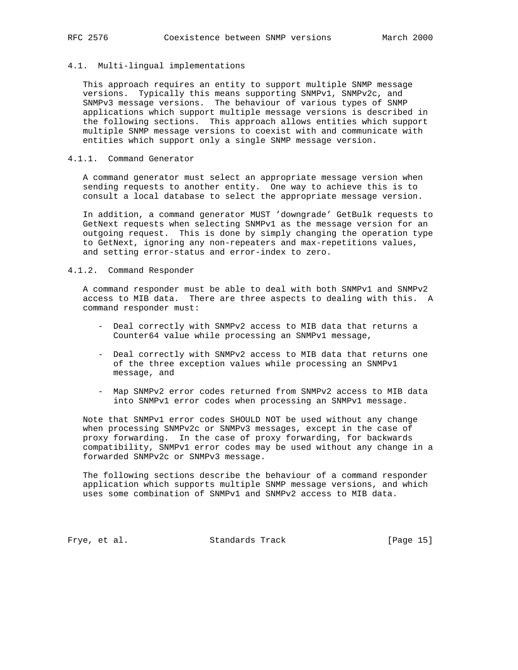## 4.1. Multi-lingual implementations

 This approach requires an entity to support multiple SNMP message versions. Typically this means supporting SNMPv1, SNMPv2c, and SNMPv3 message versions. The behaviour of various types of SNMP applications which support multiple message versions is described in the following sections. This approach allows entities which support multiple SNMP message versions to coexist with and communicate with entities which support only a single SNMP message version.

## 4.1.1. Command Generator

 A command generator must select an appropriate message version when sending requests to another entity. One way to achieve this is to consult a local database to select the appropriate message version.

 In addition, a command generator MUST 'downgrade' GetBulk requests to GetNext requests when selecting SNMPv1 as the message version for an outgoing request. This is done by simply changing the operation type to GetNext, ignoring any non-repeaters and max-repetitions values, and setting error-status and error-index to zero.

### 4.1.2. Command Responder

 A command responder must be able to deal with both SNMPv1 and SNMPv2 access to MIB data. There are three aspects to dealing with this. A command responder must:

- Deal correctly with SNMPv2 access to MIB data that returns a Counter64 value while processing an SNMPv1 message,
- Deal correctly with SNMPv2 access to MIB data that returns one of the three exception values while processing an SNMPv1 message, and
- Map SNMPv2 error codes returned from SNMPv2 access to MIB data into SNMPv1 error codes when processing an SNMPv1 message.

 Note that SNMPv1 error codes SHOULD NOT be used without any change when processing SNMPv2c or SNMPv3 messages, except in the case of proxy forwarding. In the case of proxy forwarding, for backwards compatibility, SNMPv1 error codes may be used without any change in a forwarded SNMPv2c or SNMPv3 message.

 The following sections describe the behaviour of a command responder application which supports multiple SNMP message versions, and which uses some combination of SNMPv1 and SNMPv2 access to MIB data.

Frye, et al. Standards Track [Page 15]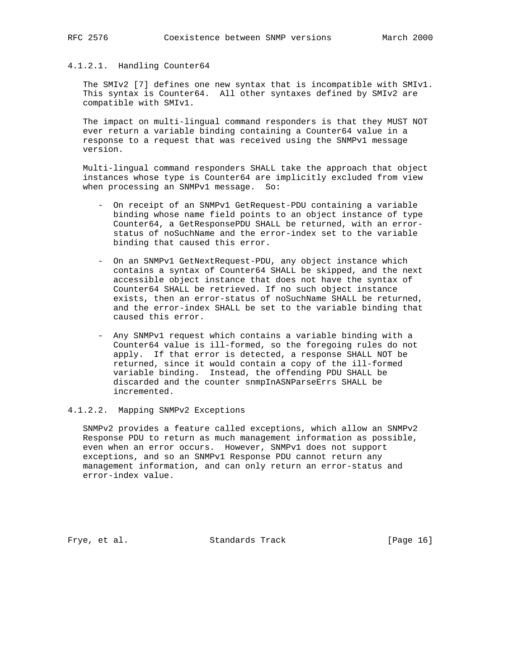## 4.1.2.1. Handling Counter64

 The SMIv2 [7] defines one new syntax that is incompatible with SMIv1. This syntax is Counter64. All other syntaxes defined by SMIv2 are compatible with SMIv1.

 The impact on multi-lingual command responders is that they MUST NOT ever return a variable binding containing a Counter64 value in a response to a request that was received using the SNMPv1 message version.

 Multi-lingual command responders SHALL take the approach that object instances whose type is Counter64 are implicitly excluded from view when processing an SNMPv1 message. So:

- On receipt of an SNMPv1 GetRequest-PDU containing a variable binding whose name field points to an object instance of type Counter64, a GetResponsePDU SHALL be returned, with an error status of noSuchName and the error-index set to the variable binding that caused this error.
- On an SNMPv1 GetNextRequest-PDU, any object instance which contains a syntax of Counter64 SHALL be skipped, and the next accessible object instance that does not have the syntax of Counter64 SHALL be retrieved. If no such object instance exists, then an error-status of noSuchName SHALL be returned, and the error-index SHALL be set to the variable binding that caused this error.
- Any SNMPv1 request which contains a variable binding with a Counter64 value is ill-formed, so the foregoing rules do not apply. If that error is detected, a response SHALL NOT be returned, since it would contain a copy of the ill-formed variable binding. Instead, the offending PDU SHALL be discarded and the counter snmpInASNParseErrs SHALL be incremented.

#### 4.1.2.2. Mapping SNMPv2 Exceptions

 SNMPv2 provides a feature called exceptions, which allow an SNMPv2 Response PDU to return as much management information as possible, even when an error occurs. However, SNMPv1 does not support exceptions, and so an SNMPv1 Response PDU cannot return any management information, and can only return an error-status and error-index value.

Frye, et al. Standards Track [Page 16]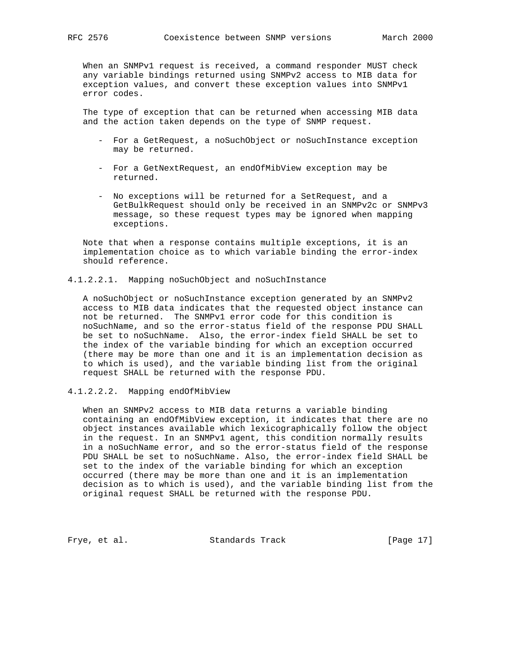When an SNMPv1 request is received, a command responder MUST check any variable bindings returned using SNMPv2 access to MIB data for exception values, and convert these exception values into SNMPv1 error codes.

 The type of exception that can be returned when accessing MIB data and the action taken depends on the type of SNMP request.

- For a GetRequest, a noSuchObject or noSuchInstance exception may be returned.
- For a GetNextRequest, an endOfMibView exception may be returned.
- No exceptions will be returned for a SetRequest, and a GetBulkRequest should only be received in an SNMPv2c or SNMPv3 message, so these request types may be ignored when mapping exceptions.

 Note that when a response contains multiple exceptions, it is an implementation choice as to which variable binding the error-index should reference.

4.1.2.2.1. Mapping noSuchObject and noSuchInstance

 A noSuchObject or noSuchInstance exception generated by an SNMPv2 access to MIB data indicates that the requested object instance can not be returned. The SNMPv1 error code for this condition is noSuchName, and so the error-status field of the response PDU SHALL be set to noSuchName. Also, the error-index field SHALL be set to the index of the variable binding for which an exception occurred (there may be more than one and it is an implementation decision as to which is used), and the variable binding list from the original request SHALL be returned with the response PDU.

4.1.2.2.2. Mapping endOfMibView

 When an SNMPv2 access to MIB data returns a variable binding containing an endOfMibView exception, it indicates that there are no object instances available which lexicographically follow the object in the request. In an SNMPv1 agent, this condition normally results in a noSuchName error, and so the error-status field of the response PDU SHALL be set to noSuchName. Also, the error-index field SHALL be set to the index of the variable binding for which an exception occurred (there may be more than one and it is an implementation decision as to which is used), and the variable binding list from the original request SHALL be returned with the response PDU.

Frye, et al. Standards Track [Page 17]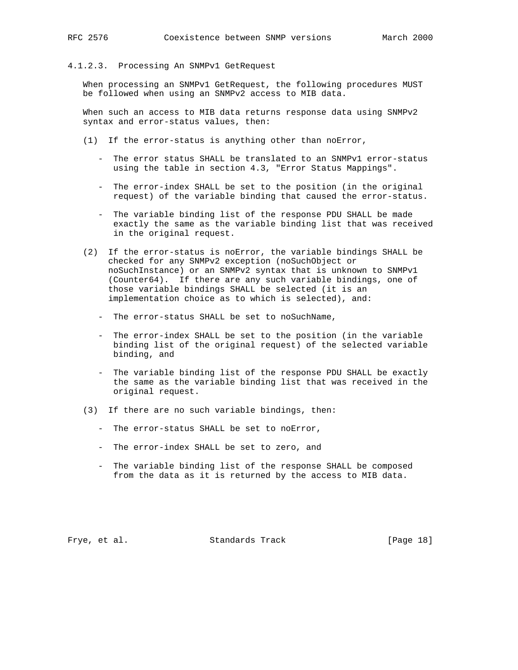#### 4.1.2.3. Processing An SNMPv1 GetRequest

 When processing an SNMPv1 GetRequest, the following procedures MUST be followed when using an SNMPv2 access to MIB data.

 When such an access to MIB data returns response data using SNMPv2 syntax and error-status values, then:

- (1) If the error-status is anything other than noError,
	- The error status SHALL be translated to an SNMPv1 error-status using the table in section 4.3, "Error Status Mappings".
	- The error-index SHALL be set to the position (in the original request) of the variable binding that caused the error-status.
	- The variable binding list of the response PDU SHALL be made exactly the same as the variable binding list that was received in the original request.
- (2) If the error-status is noError, the variable bindings SHALL be checked for any SNMPv2 exception (noSuchObject or noSuchInstance) or an SNMPv2 syntax that is unknown to SNMPv1 (Counter64). If there are any such variable bindings, one of those variable bindings SHALL be selected (it is an implementation choice as to which is selected), and:
	- The error-status SHALL be set to noSuchName,
	- The error-index SHALL be set to the position (in the variable binding list of the original request) of the selected variable binding, and
	- The variable binding list of the response PDU SHALL be exactly the same as the variable binding list that was received in the original request.
- (3) If there are no such variable bindings, then:
	- The error-status SHALL be set to noError,
	- The error-index SHALL be set to zero, and
	- The variable binding list of the response SHALL be composed from the data as it is returned by the access to MIB data.

Frye, et al. Standards Track [Page 18]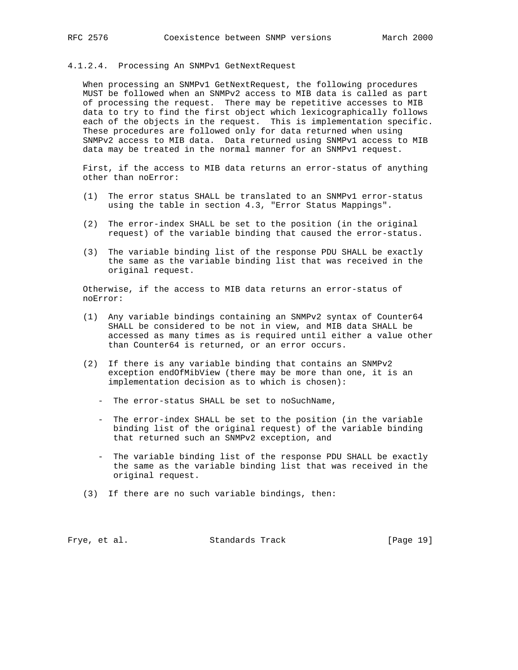#### 4.1.2.4. Processing An SNMPv1 GetNextRequest

 When processing an SNMPv1 GetNextRequest, the following procedures MUST be followed when an SNMPv2 access to MIB data is called as part of processing the request. There may be repetitive accesses to MIB data to try to find the first object which lexicographically follows each of the objects in the request. This is implementation specific. These procedures are followed only for data returned when using SNMPv2 access to MIB data. Data returned using SNMPv1 access to MIB data may be treated in the normal manner for an SNMPv1 request.

 First, if the access to MIB data returns an error-status of anything other than noError:

- (1) The error status SHALL be translated to an SNMPv1 error-status using the table in section 4.3, "Error Status Mappings".
- (2) The error-index SHALL be set to the position (in the original request) of the variable binding that caused the error-status.
- (3) The variable binding list of the response PDU SHALL be exactly the same as the variable binding list that was received in the original request.

 Otherwise, if the access to MIB data returns an error-status of noError:

- (1) Any variable bindings containing an SNMPv2 syntax of Counter64 SHALL be considered to be not in view, and MIB data SHALL be accessed as many times as is required until either a value other than Counter64 is returned, or an error occurs.
- (2) If there is any variable binding that contains an SNMPv2 exception endOfMibView (there may be more than one, it is an implementation decision as to which is chosen):
	- The error-status SHALL be set to noSuchName,
	- The error-index SHALL be set to the position (in the variable binding list of the original request) of the variable binding that returned such an SNMPv2 exception, and
	- The variable binding list of the response PDU SHALL be exactly the same as the variable binding list that was received in the original request.
- (3) If there are no such variable bindings, then:

Frye, et al. Standards Track [Page 19]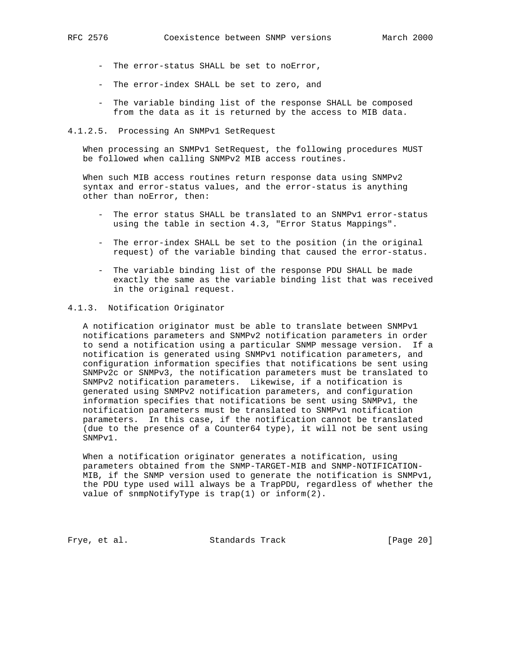- The error-status SHALL be set to noError,
- The error-index SHALL be set to zero, and
- The variable binding list of the response SHALL be composed from the data as it is returned by the access to MIB data.

#### 4.1.2.5. Processing An SNMPv1 SetRequest

 When processing an SNMPv1 SetRequest, the following procedures MUST be followed when calling SNMPv2 MIB access routines.

 When such MIB access routines return response data using SNMPv2 syntax and error-status values, and the error-status is anything other than noError, then:

- The error status SHALL be translated to an SNMPv1 error-status using the table in section 4.3, "Error Status Mappings".
- The error-index SHALL be set to the position (in the original request) of the variable binding that caused the error-status.
- The variable binding list of the response PDU SHALL be made exactly the same as the variable binding list that was received in the original request.

### 4.1.3. Notification Originator

 A notification originator must be able to translate between SNMPv1 notifications parameters and SNMPv2 notification parameters in order to send a notification using a particular SNMP message version. If a notification is generated using SNMPv1 notification parameters, and configuration information specifies that notifications be sent using SNMPv2c or SNMPv3, the notification parameters must be translated to SNMPv2 notification parameters. Likewise, if a notification is generated using SNMPv2 notification parameters, and configuration information specifies that notifications be sent using SNMPv1, the notification parameters must be translated to SNMPv1 notification parameters. In this case, if the notification cannot be translated (due to the presence of a Counter64 type), it will not be sent using SNMPv1.

 When a notification originator generates a notification, using parameters obtained from the SNMP-TARGET-MIB and SNMP-NOTIFICATION- MIB, if the SNMP version used to generate the notification is SNMPv1, the PDU type used will always be a TrapPDU, regardless of whether the value of snmpNotifyType is trap(1) or inform(2).

Frye, et al. Standards Track [Page 20]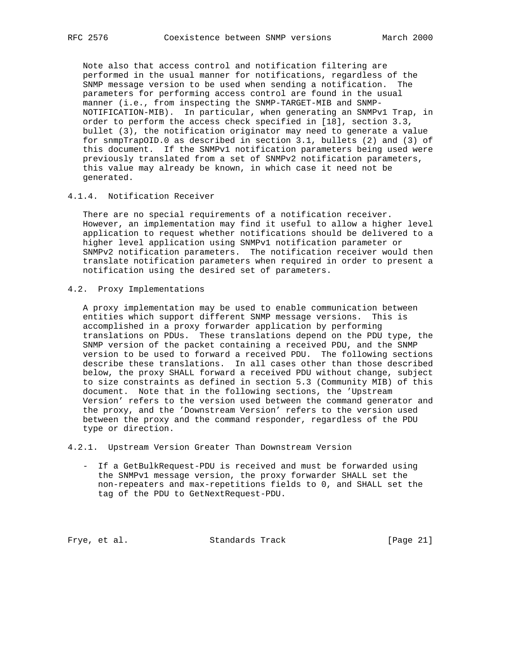Note also that access control and notification filtering are performed in the usual manner for notifications, regardless of the SNMP message version to be used when sending a notification. The parameters for performing access control are found in the usual manner (i.e., from inspecting the SNMP-TARGET-MIB and SNMP- NOTIFICATION-MIB). In particular, when generating an SNMPv1 Trap, in order to perform the access check specified in [18], section 3.3, bullet (3), the notification originator may need to generate a value for snmpTrapOID.0 as described in section 3.1, bullets (2) and (3) of this document. If the SNMPv1 notification parameters being used were previously translated from a set of SNMPv2 notification parameters, this value may already be known, in which case it need not be generated.

## 4.1.4. Notification Receiver

 There are no special requirements of a notification receiver. However, an implementation may find it useful to allow a higher level application to request whether notifications should be delivered to a higher level application using SNMPv1 notification parameter or SNMPv2 notification parameters. The notification receiver would then translate notification parameters when required in order to present a notification using the desired set of parameters.

4.2. Proxy Implementations

 A proxy implementation may be used to enable communication between entities which support different SNMP message versions. This is accomplished in a proxy forwarder application by performing translations on PDUs. These translations depend on the PDU type, the SNMP version of the packet containing a received PDU, and the SNMP version to be used to forward a received PDU. The following sections describe these translations. In all cases other than those described below, the proxy SHALL forward a received PDU without change, subject to size constraints as defined in section 5.3 (Community MIB) of this document. Note that in the following sections, the 'Upstream Version' refers to the version used between the command generator and the proxy, and the 'Downstream Version' refers to the version used between the proxy and the command responder, regardless of the PDU type or direction.

4.2.1. Upstream Version Greater Than Downstream Version

 - If a GetBulkRequest-PDU is received and must be forwarded using the SNMPv1 message version, the proxy forwarder SHALL set the non-repeaters and max-repetitions fields to 0, and SHALL set the tag of the PDU to GetNextRequest-PDU.

Frye, et al. Standards Track [Page 21]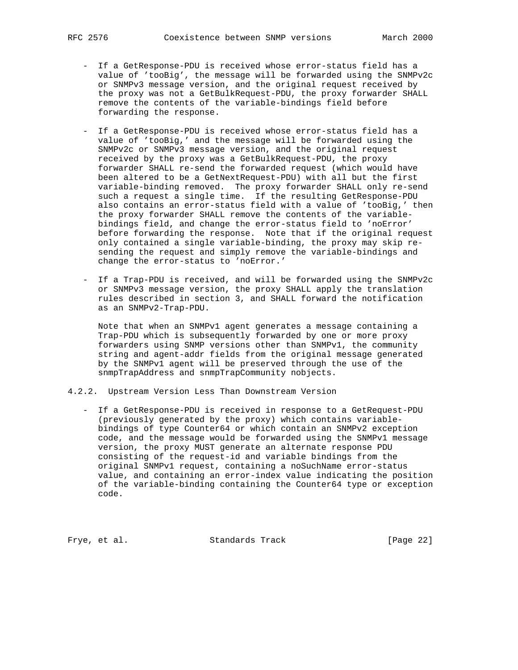- If a GetResponse-PDU is received whose error-status field has a value of 'tooBig', the message will be forwarded using the SNMPv2c or SNMPv3 message version, and the original request received by the proxy was not a GetBulkRequest-PDU, the proxy forwarder SHALL remove the contents of the variable-bindings field before forwarding the response.
- If a GetResponse-PDU is received whose error-status field has a value of 'tooBig,' and the message will be forwarded using the SNMPv2c or SNMPv3 message version, and the original request received by the proxy was a GetBulkRequest-PDU, the proxy forwarder SHALL re-send the forwarded request (which would have been altered to be a GetNextRequest-PDU) with all but the first variable-binding removed. The proxy forwarder SHALL only re-send such a request a single time. If the resulting GetResponse-PDU also contains an error-status field with a value of 'tooBig,' then the proxy forwarder SHALL remove the contents of the variable bindings field, and change the error-status field to 'noError' before forwarding the response. Note that if the original request only contained a single variable-binding, the proxy may skip re sending the request and simply remove the variable-bindings and change the error-status to 'noError.'
- If a Trap-PDU is received, and will be forwarded using the SNMPv2c or SNMPv3 message version, the proxy SHALL apply the translation rules described in section 3, and SHALL forward the notification as an SNMPv2-Trap-PDU.

 Note that when an SNMPv1 agent generates a message containing a Trap-PDU which is subsequently forwarded by one or more proxy forwarders using SNMP versions other than SNMPv1, the community string and agent-addr fields from the original message generated by the SNMPv1 agent will be preserved through the use of the snmpTrapAddress and snmpTrapCommunity nobjects.

- 4.2.2. Upstream Version Less Than Downstream Version
	- If a GetResponse-PDU is received in response to a GetRequest-PDU (previously generated by the proxy) which contains variable bindings of type Counter64 or which contain an SNMPv2 exception code, and the message would be forwarded using the SNMPv1 message version, the proxy MUST generate an alternate response PDU consisting of the request-id and variable bindings from the original SNMPv1 request, containing a noSuchName error-status value, and containing an error-index value indicating the position of the variable-binding containing the Counter64 type or exception code.

Frye, et al. Standards Track [Page 22]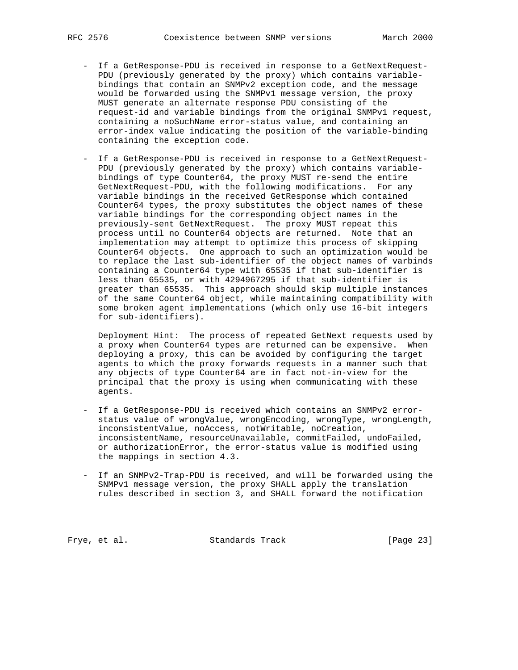- If a GetResponse-PDU is received in response to a GetNextRequest- PDU (previously generated by the proxy) which contains variable bindings that contain an SNMPv2 exception code, and the message would be forwarded using the SNMPv1 message version, the proxy MUST generate an alternate response PDU consisting of the request-id and variable bindings from the original SNMPv1 request, containing a noSuchName error-status value, and containing an error-index value indicating the position of the variable-binding containing the exception code.
- If a GetResponse-PDU is received in response to a GetNextRequest- PDU (previously generated by the proxy) which contains variable bindings of type Counter64, the proxy MUST re-send the entire GetNextRequest-PDU, with the following modifications. For any variable bindings in the received GetResponse which contained Counter64 types, the proxy substitutes the object names of these variable bindings for the corresponding object names in the previously-sent GetNextRequest. The proxy MUST repeat this process until no Counter64 objects are returned. Note that an implementation may attempt to optimize this process of skipping Counter64 objects. One approach to such an optimization would be to replace the last sub-identifier of the object names of varbinds containing a Counter64 type with 65535 if that sub-identifier is less than 65535, or with 4294967295 if that sub-identifier is greater than 65535. This approach should skip multiple instances of the same Counter64 object, while maintaining compatibility with some broken agent implementations (which only use 16-bit integers for sub-identifiers).

 Deployment Hint: The process of repeated GetNext requests used by a proxy when Counter64 types are returned can be expensive. When deploying a proxy, this can be avoided by configuring the target agents to which the proxy forwards requests in a manner such that any objects of type Counter64 are in fact not-in-view for the principal that the proxy is using when communicating with these agents.

- If a GetResponse-PDU is received which contains an SNMPv2 error status value of wrongValue, wrongEncoding, wrongType, wrongLength, inconsistentValue, noAccess, notWritable, noCreation, inconsistentName, resourceUnavailable, commitFailed, undoFailed, or authorizationError, the error-status value is modified using the mappings in section 4.3.
- If an SNMPv2-Trap-PDU is received, and will be forwarded using the SNMPv1 message version, the proxy SHALL apply the translation rules described in section 3, and SHALL forward the notification

Frye, et al. Standards Track [Page 23]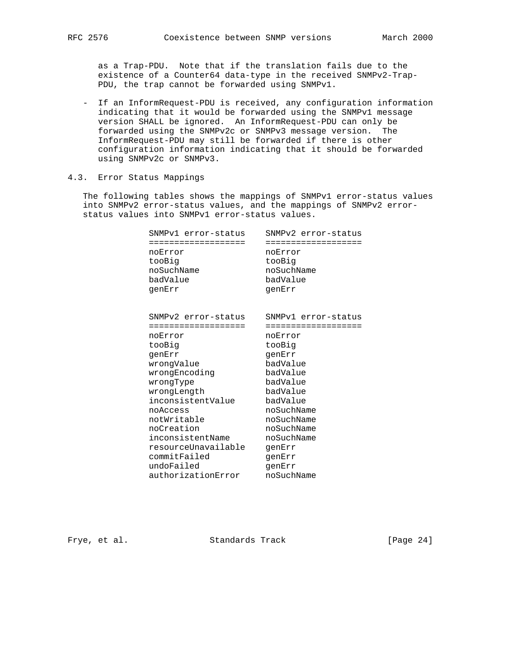as a Trap-PDU. Note that if the translation fails due to the existence of a Counter64 data-type in the received SNMPv2-Trap- PDU, the trap cannot be forwarded using SNMPv1.

 - If an InformRequest-PDU is received, any configuration information indicating that it would be forwarded using the SNMPv1 message version SHALL be ignored. An InformRequest-PDU can only be forwarded using the SNMPv2c or SNMPv3 message version. The InformRequest-PDU may still be forwarded if there is other configuration information indicating that it should be forwarded using SNMPv2c or SNMPv3.

## 4.3. Error Status Mappings

 The following tables shows the mappings of SNMPv1 error-status values into SNMPv2 error-status values, and the mappings of SNMPv2 error status values into SNMPv1 error-status values.

| SNMPv1 error-status | SNMPv2 error-status |
|---------------------|---------------------|
|                     |                     |
| noError             | noError             |
| tooBig              | tooBig              |
| noSuchName          | noSuchName          |
| badValue            | badValue            |
| genErr              | genErr              |
|                     |                     |
|                     |                     |
| SNMPv2 error-status | SNMPv1 error-status |
|                     |                     |
| noError             | noError             |
| tooBig              | tooBig              |
| genErr              | qenErr              |
| wrongValue          | badValue            |
|                     |                     |

 wrongType badValue wrongLength badValue inconsistentValue badValue noAccess noSuchName notWritable noSuchName noCreation moSuchName inconsistentName noSuchName resourceUnavailable genErr commitFailed genErr undoFailed genErr authorizationError noSuchName

Frye, et al. Standards Track [Page 24]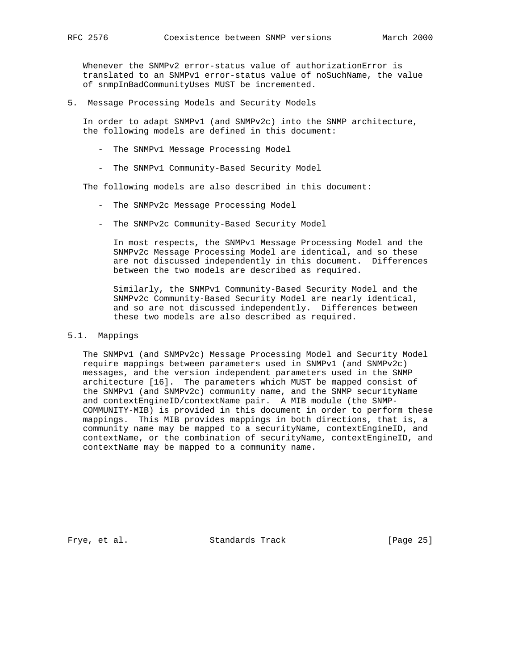Whenever the SNMPv2 error-status value of authorizationError is translated to an SNMPv1 error-status value of noSuchName, the value of snmpInBadCommunityUses MUST be incremented.

5. Message Processing Models and Security Models

 In order to adapt SNMPv1 (and SNMPv2c) into the SNMP architecture, the following models are defined in this document:

- The SNMPv1 Message Processing Model
- The SNMPv1 Community-Based Security Model

The following models are also described in this document:

- The SNMPv2c Message Processing Model
- The SNMPv2c Community-Based Security Model

 In most respects, the SNMPv1 Message Processing Model and the SNMPv2c Message Processing Model are identical, and so these are not discussed independently in this document. Differences between the two models are described as required.

 Similarly, the SNMPv1 Community-Based Security Model and the SNMPv2c Community-Based Security Model are nearly identical, and so are not discussed independently. Differences between these two models are also described as required.

## 5.1. Mappings

 The SNMPv1 (and SNMPv2c) Message Processing Model and Security Model require mappings between parameters used in SNMPv1 (and SNMPv2c) messages, and the version independent parameters used in the SNMP architecture [16]. The parameters which MUST be mapped consist of the SNMPv1 (and SNMPv2c) community name, and the SNMP securityName and contextEngineID/contextName pair. A MIB module (the SNMP- COMMUNITY-MIB) is provided in this document in order to perform these mappings. This MIB provides mappings in both directions, that is, a community name may be mapped to a securityName, contextEngineID, and contextName, or the combination of securityName, contextEngineID, and contextName may be mapped to a community name.

Frye, et al. Standards Track [Page 25]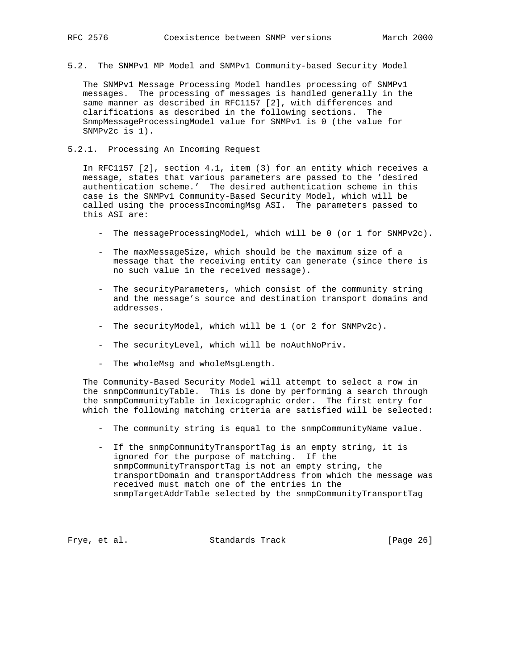5.2. The SNMPv1 MP Model and SNMPv1 Community-based Security Model

 The SNMPv1 Message Processing Model handles processing of SNMPv1 messages. The processing of messages is handled generally in the same manner as described in RFC1157 [2], with differences and clarifications as described in the following sections. The SnmpMessageProcessingModel value for SNMPv1 is 0 (the value for SNMPv2c is 1).

## 5.2.1. Processing An Incoming Request

 In RFC1157 [2], section 4.1, item (3) for an entity which receives a message, states that various parameters are passed to the 'desired authentication scheme.' The desired authentication scheme in this case is the SNMPv1 Community-Based Security Model, which will be called using the processIncomingMsg ASI. The parameters passed to this ASI are:

- The messageProcessingModel, which will be 0 (or 1 for SNMPv2c).
- The maxMessageSize, which should be the maximum size of a message that the receiving entity can generate (since there is no such value in the received message).
- The securityParameters, which consist of the community string and the message's source and destination transport domains and addresses.
- The securityModel, which will be 1 (or 2 for SNMPv2c).
- The securityLevel, which will be noAuthNoPriv.
- The wholeMsg and wholeMsgLength.

 The Community-Based Security Model will attempt to select a row in the snmpCommunityTable. This is done by performing a search through the snmpCommunityTable in lexicographic order. The first entry for which the following matching criteria are satisfied will be selected:

- The community string is equal to the snmpCommunityName value.

 - If the snmpCommunityTransportTag is an empty string, it is ignored for the purpose of matching. If the snmpCommunityTransportTag is not an empty string, the transportDomain and transportAddress from which the message was received must match one of the entries in the snmpTargetAddrTable selected by the snmpCommunityTransportTag

Frye, et al. Standards Track [Page 26]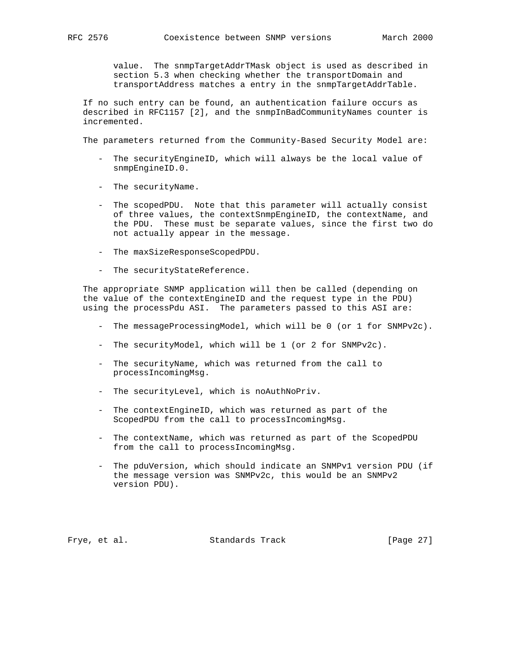value. The snmpTargetAddrTMask object is used as described in section 5.3 when checking whether the transportDomain and transportAddress matches a entry in the snmpTargetAddrTable.

 If no such entry can be found, an authentication failure occurs as described in RFC1157 [2], and the snmpInBadCommunityNames counter is incremented.

The parameters returned from the Community-Based Security Model are:

- The securityEngineID, which will always be the local value of snmpEngineID.0.
- The securityName.
- The scopedPDU. Note that this parameter will actually consist of three values, the contextSnmpEngineID, the contextName, and the PDU. These must be separate values, since the first two do not actually appear in the message.
- The maxSizeResponseScopedPDU.
- The securityStateReference.

 The appropriate SNMP application will then be called (depending on the value of the contextEngineID and the request type in the PDU) using the processPdu ASI. The parameters passed to this ASI are:

- The messageProcessingModel, which will be 0 (or 1 for SNMPv2c).
- The securityModel, which will be 1 (or 2 for SNMPv2c).
- The securityName, which was returned from the call to processIncomingMsg.
- The securityLevel, which is noAuthNoPriv.
- The contextEngineID, which was returned as part of the ScopedPDU from the call to processIncomingMsg.
- The contextName, which was returned as part of the ScopedPDU from the call to processIncomingMsg.
- The pduVersion, which should indicate an SNMPv1 version PDU (if the message version was SNMPv2c, this would be an SNMPv2 version PDU).

Frye, et al. Standards Track [Page 27]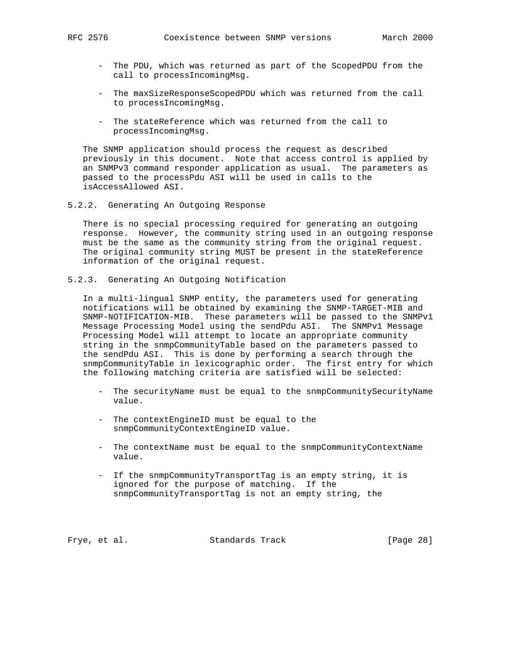- The PDU, which was returned as part of the ScopedPDU from the call to processIncomingMsg.
- The maxSizeResponseScopedPDU which was returned from the call to processIncomingMsg.
- The stateReference which was returned from the call to processIncomingMsg.

 The SNMP application should process the request as described previously in this document. Note that access control is applied by an SNMPv3 command responder application as usual. The parameters as passed to the processPdu ASI will be used in calls to the isAccessAllowed ASI.

5.2.2. Generating An Outgoing Response

 There is no special processing required for generating an outgoing response. However, the community string used in an outgoing response must be the same as the community string from the original request. The original community string MUST be present in the stateReference information of the original request.

5.2.3. Generating An Outgoing Notification

 In a multi-lingual SNMP entity, the parameters used for generating notifications will be obtained by examining the SNMP-TARGET-MIB and SNMP-NOTIFICATION-MIB. These parameters will be passed to the SNMPv1 Message Processing Model using the sendPdu ASI. The SNMPv1 Message Processing Model will attempt to locate an appropriate community string in the snmpCommunityTable based on the parameters passed to the sendPdu ASI. This is done by performing a search through the snmpCommunityTable in lexicographic order. The first entry for which the following matching criteria are satisfied will be selected:

- The securityName must be equal to the snmpCommunitySecurityName value.
- The contextEngineID must be equal to the snmpCommunityContextEngineID value.
- The contextName must be equal to the snmpCommunityContextName value.
- If the snmpCommunityTransportTag is an empty string, it is ignored for the purpose of matching. If the snmpCommunityTransportTag is not an empty string, the

Frye, et al. Standards Track [Page 28]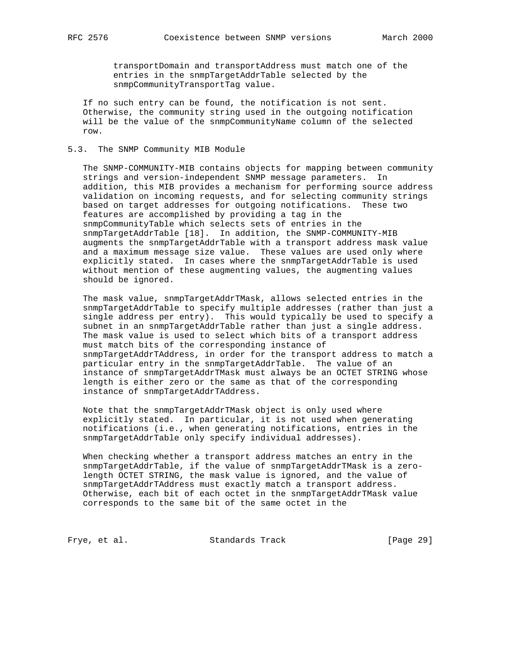transportDomain and transportAddress must match one of the entries in the snmpTargetAddrTable selected by the snmpCommunityTransportTag value.

 If no such entry can be found, the notification is not sent. Otherwise, the community string used in the outgoing notification will be the value of the snmpCommunityName column of the selected row.

## 5.3. The SNMP Community MIB Module

 The SNMP-COMMUNITY-MIB contains objects for mapping between community strings and version-independent SNMP message parameters. In addition, this MIB provides a mechanism for performing source address validation on incoming requests, and for selecting community strings based on target addresses for outgoing notifications. These two features are accomplished by providing a tag in the snmpCommunityTable which selects sets of entries in the snmpTargetAddrTable [18]. In addition, the SNMP-COMMUNITY-MIB augments the snmpTargetAddrTable with a transport address mask value and a maximum message size value. These values are used only where explicitly stated. In cases where the snmpTargetAddrTable is used without mention of these augmenting values, the augmenting values should be ignored.

 The mask value, snmpTargetAddrTMask, allows selected entries in the snmpTargetAddrTable to specify multiple addresses (rather than just a single address per entry). This would typically be used to specify a subnet in an snmpTargetAddrTable rather than just a single address. The mask value is used to select which bits of a transport address must match bits of the corresponding instance of snmpTargetAddrTAddress, in order for the transport address to match a particular entry in the snmpTargetAddrTable. The value of an instance of snmpTargetAddrTMask must always be an OCTET STRING whose length is either zero or the same as that of the corresponding instance of snmpTargetAddrTAddress.

 Note that the snmpTargetAddrTMask object is only used where explicitly stated. In particular, it is not used when generating notifications (i.e., when generating notifications, entries in the snmpTargetAddrTable only specify individual addresses).

 When checking whether a transport address matches an entry in the snmpTargetAddrTable, if the value of snmpTargetAddrTMask is a zero length OCTET STRING, the mask value is ignored, and the value of snmpTargetAddrTAddress must exactly match a transport address. Otherwise, each bit of each octet in the snmpTargetAddrTMask value corresponds to the same bit of the same octet in the

Frye, et al. Standards Track [Page 29]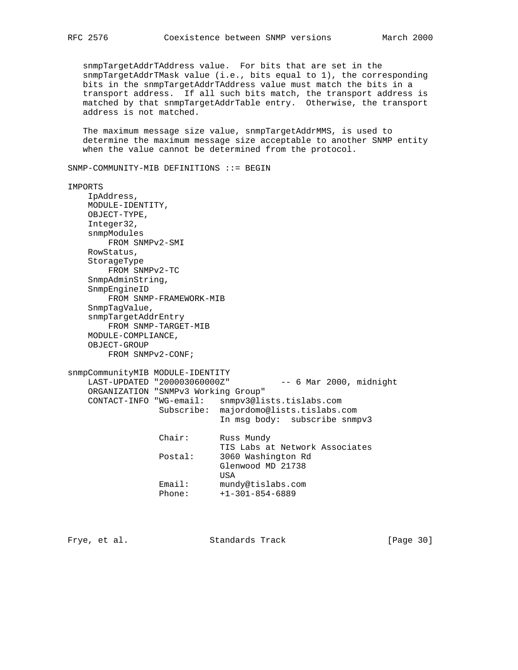snmpTargetAddrTAddress value. For bits that are set in the snmpTargetAddrTMask value (i.e., bits equal to 1), the corresponding bits in the snmpTargetAddrTAddress value must match the bits in a transport address. If all such bits match, the transport address is matched by that snmpTargetAddrTable entry. Otherwise, the transport address is not matched.

 The maximum message size value, snmpTargetAddrMMS, is used to determine the maximum message size acceptable to another SNMP entity when the value cannot be determined from the protocol.

SNMP-COMMUNITY-MIB DEFINITIONS ::= BEGIN

IMPORTS IpAddress, MODULE-IDENTITY, OBJECT-TYPE, Integer32, snmpModules FROM SNMPv2-SMI RowStatus, StorageType FROM SNMPv2-TC SnmpAdminString, SnmpEngineID FROM SNMP-FRAMEWORK-MIB SnmpTagValue, snmpTargetAddrEntry FROM SNMP-TARGET-MIB MODULE-COMPLIANCE, OBJECT-GROUP FROM SNMPv2-CONF; snmpCommunityMIB MODULE-IDENTITY LAST-UPDATED "200003060000Z" -- 6 Mar 2000, midnight ORGANIZATION "SNMPv3 Working Group" CONTACT-INFO "WG-email: snmpv3@lists.tislabs.com Subscribe: majordomo@lists.tislabs.com In msg body: subscribe snmpv3 Chair: Russ Mundy TIS Labs at Network Associates<br>Postal: 3060 Washington Rd 3060 Washington Rd Glenwood MD 21738 USA Email: mundy@tislabs.com Phone: +1-301-854-6889

Frye, et al. Standards Track [Page 30]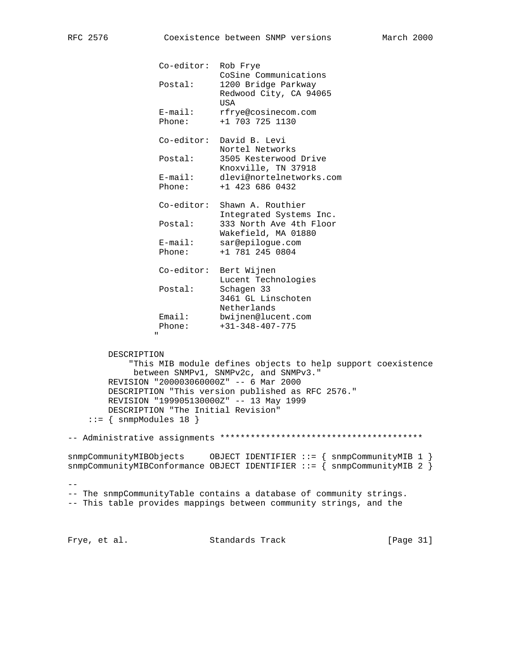Co-editor: Rob Frye

CoSine Communications

| Postal:                                                                                                                                                            | 1200 Bridge Parkway<br>Redwood City, CA 94065<br>USA                                                                                                       |
|--------------------------------------------------------------------------------------------------------------------------------------------------------------------|------------------------------------------------------------------------------------------------------------------------------------------------------------|
| E-mail:<br>Phone:                                                                                                                                                  | rfrye@cosinecom.com<br>+1 703 725 1130                                                                                                                     |
|                                                                                                                                                                    | Co-editor: David B. Levi<br>Nortel Networks                                                                                                                |
| Postal:                                                                                                                                                            | 3505 Kesterwood Drive<br>Knoxville, TN 37918                                                                                                               |
| E-mail:<br>Phone:                                                                                                                                                  | dlevi@nortelnetworks.com<br>+1 423 686 0432                                                                                                                |
| Co-editor:                                                                                                                                                         | Shawn A. Routhier<br>Integrated Systems Inc.                                                                                                               |
| Postal:                                                                                                                                                            | 333 North Ave 4th Floor<br>Wakefield, MA 01880                                                                                                             |
| $E$ -mail:<br>Phone:                                                                                                                                               | sar@epilogue.com<br>+1 781 245 0804                                                                                                                        |
| Co-editor:                                                                                                                                                         | Bert Wijnen<br>Lucent Technologies                                                                                                                         |
| Postal:                                                                                                                                                            | Schagen 33<br>3461 GL Linschoten<br>Netherlands                                                                                                            |
| Email:<br>Phone:<br>П.                                                                                                                                             | bwijnen@lucent.com<br>$+31-348-407-775$                                                                                                                    |
| DESCRIPTION<br>REVISION "200003060000Z" -- 6 Mar 2000<br>REVISION "199905130000Z" -- 13 May 1999<br>DESCRIPTION "The Initial Revision"<br>$::=$ { snmpModules 18 } | "This MIB module defines objects to help support coexistence<br>between SNMPv1, SNMPv2c, and SNMPv3."<br>DESCRIPTION "This version published as RFC 2576." |
|                                                                                                                                                                    |                                                                                                                                                            |
| snmpCommunityMIBObjects                                                                                                                                            | OBJECT IDENTIFIER ::= { snmpCommunityMIB 1 }<br>snmpCommunityMIBConformance OBJECT IDENTIFIER ::= $\{$ snmpCommunityMIB 2 $\}$                             |
|                                                                                                                                                                    | -- The snmpCommunityTable contains a database of community strings.<br>-- This table provides mappings between community strings, and the                  |

Frye, et al. Standards Track [Page 31]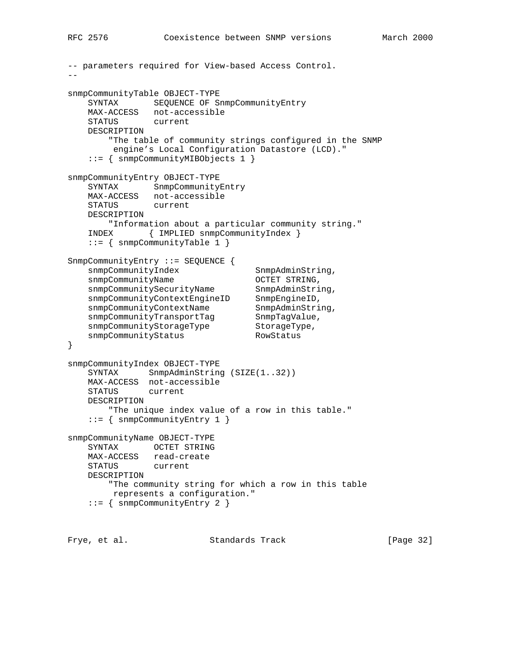```
-- parameters required for View-based Access Control.
-snmpCommunityTable OBJECT-TYPE
    SYNTAX SEQUENCE OF SnmpCommunityEntry
    MAX-ACCESS not-accessible
    STATUS current
    DESCRIPTION
        "The table of community strings configured in the SNMP
         engine's Local Configuration Datastore (LCD)."
    ::= { snmpCommunityMIBObjects 1 }
snmpCommunityEntry OBJECT-TYPE
    SYNTAX SnmpCommunityEntry
   MAX-ACCESS not-accessible<br>STATUS current
   STATUS
    DESCRIPTION
        "Information about a particular community string."
    INDEX { IMPLIED snmpCommunityIndex }
    ::= { snmpCommunityTable 1 }
SnmpCommunityEntry ::= SEQUENCE {
   snmpCommunityIndex SnmpAdminString,
snmpCommunityName OCTET STRING,
snmpCommunitySecurityName SnmpAdminString,
snmpCommunityContextEngineID SnmpEngineID,
snmpCommunityContextName SnmpAdminString,
snmpCommunityTransportTag SnmpTagValue,
snmpCommunityStorageType StorageType,
snmpCommunityStatus RowStatus
}
snmpCommunityIndex OBJECT-TYPE
   SYNTAX SnmpAdminString (SIZE(1..32))
    MAX-ACCESS not-accessible
    STATUS current
    DESCRIPTION
        "The unique index value of a row in this table."
    ::= { snmpCommunityEntry 1 }
snmpCommunityName OBJECT-TYPE
    SYNTAX OCTET STRING
    MAX-ACCESS read-create
    STATUS current
    DESCRIPTION
        "The community string for which a row in this table
         represents a configuration."
    ::= { snmpCommunityEntry 2 }
```
Frye, et al. Standards Track [Page 32]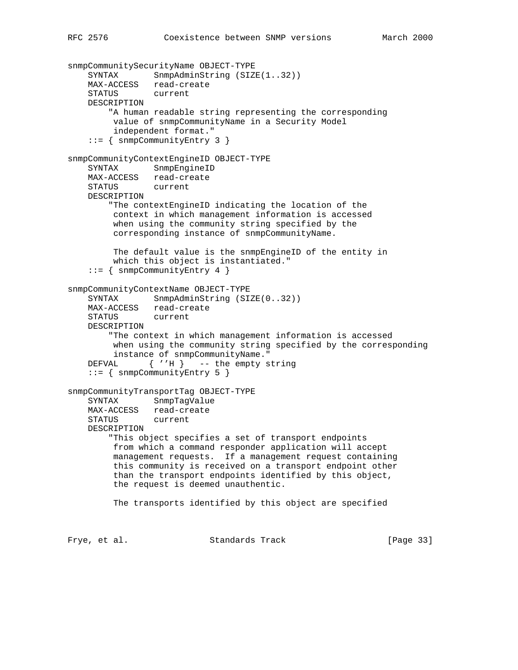```
snmpCommunitySecurityName OBJECT-TYPE
   SYNTAX SnmpAdminString (SIZE(1..32))
    MAX-ACCESS read-create
    STATUS current
    DESCRIPTION
         "A human readable string representing the corresponding
         value of snmpCommunityName in a Security Model
         independent format."
     ::= { snmpCommunityEntry 3 }
snmpCommunityContextEngineID OBJECT-TYPE
    SYNTAX SnmpEngineID
    MAX-ACCESS read-create
    STATUS current
    DESCRIPTION
        "The contextEngineID indicating the location of the
         context in which management information is accessed
         when using the community string specified by the
         corresponding instance of snmpCommunityName.
         The default value is the snmpEngineID of the entity in
         which this object is instantiated."
     ::= { snmpCommunityEntry 4 }
snmpCommunityContextName OBJECT-TYPE
   SYNTAX SnmpAdminString (SIZE(0..32))
    MAX-ACCESS read-create
    STATUS current
    DESCRIPTION
        "The context in which management information is accessed
         when using the community string specified by the corresponding
         instance of snmpCommunityName."
   DEFVAL \{ 'H \} -- the empty string
     ::= { snmpCommunityEntry 5 }
snmpCommunityTransportTag OBJECT-TYPE
    SYNTAX SnmpTagValue
    MAX-ACCESS read-create
    STATUS current
    DESCRIPTION
        "This object specifies a set of transport endpoints
         from which a command responder application will accept
         management requests. If a management request containing
         this community is received on a transport endpoint other
         than the transport endpoints identified by this object,
         the request is deemed unauthentic.
         The transports identified by this object are specified
Frye, et al. Standards Track [Page 33]
```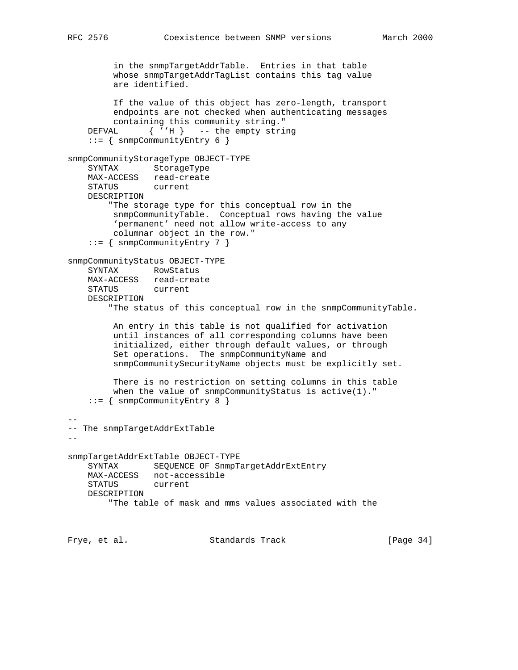```
 in the snmpTargetAddrTable. Entries in that table
         whose snmpTargetAddrTagList contains this tag value
         are identified.
         If the value of this object has zero-length, transport
         endpoints are not checked when authenticating messages
         containing this community string."
   DEFVAL \{ 'H \} -- the empty string
     ::= { snmpCommunityEntry 6 }
snmpCommunityStorageType OBJECT-TYPE
    SYNTAX StorageType
    MAX-ACCESS read-create
    STATUS current
    DESCRIPTION
        "The storage type for this conceptual row in the
         snmpCommunityTable. Conceptual rows having the value
         'permanent' need not allow write-access to any
         columnar object in the row."
     ::= { snmpCommunityEntry 7 }
snmpCommunityStatus OBJECT-TYPE
    SYNTAX RowStatus
    MAX-ACCESS read-create
    STATUS current
    DESCRIPTION
         "The status of this conceptual row in the snmpCommunityTable.
         An entry in this table is not qualified for activation
         until instances of all corresponding columns have been
         initialized, either through default values, or through
         Set operations. The snmpCommunityName and
         snmpCommunitySecurityName objects must be explicitly set.
         There is no restriction on setting columns in this table
        when the value of snmpCommunityStatus is active(1)."
     ::= { snmpCommunityEntry 8 }
--
-- The snmpTargetAddrExtTable
- -snmpTargetAddrExtTable OBJECT-TYPE
    SYNTAX SEQUENCE OF SnmpTargetAddrExtEntry
    MAX-ACCESS not-accessible
    STATUS current
    DESCRIPTION
         "The table of mask and mms values associated with the
Frye, et al. Standards Track [Page 34]
```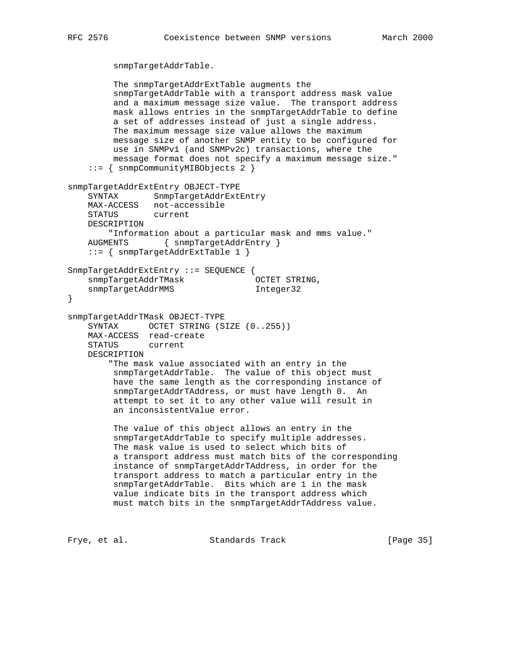```
 snmpTargetAddrTable.
```

```
 The snmpTargetAddrExtTable augments the
         snmpTargetAddrTable with a transport address mask value
         and a maximum message size value. The transport address
         mask allows entries in the snmpTargetAddrTable to define
         a set of addresses instead of just a single address.
         The maximum message size value allows the maximum
         message size of another SNMP entity to be configured for
         use in SNMPv1 (and SNMPv2c) transactions, where the
         message format does not specify a maximum message size."
     ::= { snmpCommunityMIBObjects 2 }
snmpTargetAddrExtEntry OBJECT-TYPE
    SYNTAX SnmpTargetAddrExtEntry
    MAX-ACCESS not-accessible
    STATUS current
    DESCRIPTION
        "Information about a particular mask and mms value."
    AUGMENTS { snmpTargetAddrEntry }
    ::= { snmpTargetAddrExtTable 1 }
SnmpTargetAddrExtEntry ::= SEQUENCE {
    snmpTargetAddrTMask OCTET STRING,
   snmpTargetAddrMMS 1nteger32
}
snmpTargetAddrTMask OBJECT-TYPE
   SYNTAX OCTET STRING (SIZE (0..255))
    MAX-ACCESS read-create
    STATUS current
    DESCRIPTION
         "The mask value associated with an entry in the
         snmpTargetAddrTable. The value of this object must
         have the same length as the corresponding instance of
         snmpTargetAddrTAddress, or must have length 0. An
         attempt to set it to any other value will result in
         an inconsistentValue error.
         The value of this object allows an entry in the
         snmpTargetAddrTable to specify multiple addresses.
         The mask value is used to select which bits of
         a transport address must match bits of the corresponding
         instance of snmpTargetAddrTAddress, in order for the
         transport address to match a particular entry in the
         snmpTargetAddrTable. Bits which are 1 in the mask
         value indicate bits in the transport address which
         must match bits in the snmpTargetAddrTAddress value.
```
Frye, et al. Standards Track [Page 35]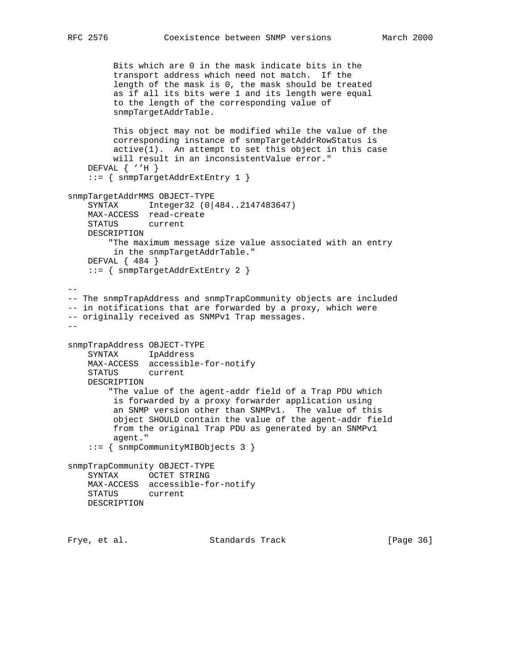```
 Bits which are 0 in the mask indicate bits in the
```
 transport address which need not match. If the length of the mask is 0, the mask should be treated as if all its bits were 1 and its length were equal to the length of the corresponding value of snmpTargetAddrTable. This object may not be modified while the value of the corresponding instance of snmpTargetAddrRowStatus is active(1). An attempt to set this object in this case will result in an inconsistentValue error." DEFVAL { ''H } ::= { snmpTargetAddrExtEntry 1 } snmpTargetAddrMMS OBJECT-TYPE SYNTAX Integer32 (0|484..2147483647) MAX-ACCESS read-create<br>STATUS current STATUS DESCRIPTION "The maximum message size value associated with an entry in the snmpTargetAddrTable." DEFVAL { 484 } ::= { snmpTargetAddrExtEntry 2 }  $-$ -- The snmpTrapAddress and snmpTrapCommunity objects are included -- in notifications that are forwarded by a proxy, which were -- originally received as SNMPv1 Trap messages.  $$ snmpTrapAddress OBJECT-TYPE SYNTAX IpAddress MAX-ACCESS accessible-for-notify STATUS current DESCRIPTION "The value of the agent-addr field of a Trap PDU which is forwarded by a proxy forwarder application using an SNMP version other than SNMPv1. The value of this object SHOULD contain the value of the agent-addr field from the original Trap PDU as generated by an SNMPv1 agent." ::= { snmpCommunityMIBObjects 3 } snmpTrapCommunity OBJECT-TYPE SYNTAX OCTET STRING MAX-ACCESS accessible-for-notify STATUS current DESCRIPTION

Frye, et al. Standards Track [Page 36]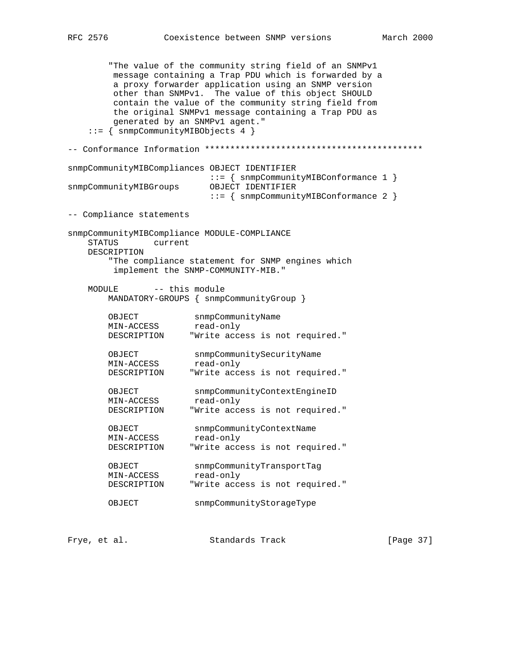"The value of the community string field of an SNMPv1 message containing a Trap PDU which is forwarded by a a proxy forwarder application using an SNMP version other than SNMPv1. The value of this object SHOULD contain the value of the community string field from the original SNMPv1 message containing a Trap PDU as generated by an SNMPv1 agent." ::= { snmpCommunityMIBObjects 4 } -- Conformance Information \*\*\*\*\*\*\*\*\*\*\*\*\*\*\*\*\*\*\*\*\*\*\*\*\*\*\*\*\*\*\*\*\*\*\*\*\*\*\*\*\*\*\* snmpCommunityMIBCompliances OBJECT IDENTIFIER ::= { snmpCommunityMIBConformance 1 } snmpCommunityMIBGroups OBJECT IDENTIFIER ::= { snmpCommunityMIBConformance 2 } -- Compliance statements snmpCommunityMIBCompliance MODULE-COMPLIANCE STATUS current DESCRIPTION "The compliance statement for SNMP engines which implement the SNMP-COMMUNITY-MIB." MODULE -- this module MANDATORY-GROUPS { snmpCommunityGroup } OBJECT snmpCommunityName MIN-ACCESS read-only DESCRIPTION "Write access is not required." OBJECT snmpCommunitySecurityName MIN-ACCESS read-only DESCRIPTION "Write access is not required." OBJECT snmpCommunityContextEngineID<br>MIN-ACCESS read-only MIN-ACCESS<br>DESCRIPTION "Write access is not required." OBJECT snmpCommunityContextName<br>
MIN-ACCESS read-only<br>
noncertic read-only MIN-ACCESS read-only DESCRIPTION "Write access is not required." OBJECT snmpCommunityTransportTag MIN-ACCESS read-only DESCRIPTION "Write access is not required." OBJECT snmpCommunityStorageType Frye, et al. Standards Track [Page 37]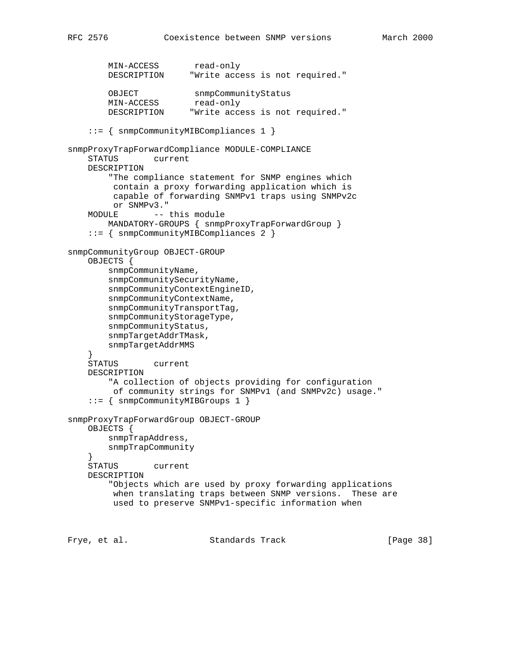```
MIN-ACCESS read-only
 DESCRIPTION "Write access is not required."
        OBJECT snmpCommunityStatus<br>MIN-ACCESS read-only
       MIN-ACCESS<br>DESCRIPTION
                        "Write access is not required."
     ::= { snmpCommunityMIBCompliances 1 }
snmpProxyTrapForwardCompliance MODULE-COMPLIANCE
     STATUS current
    DESCRIPTION
         "The compliance statement for SNMP engines which
          contain a proxy forwarding application which is
          capable of forwarding SNMPv1 traps using SNMPv2c
         or SNMPv3."
   MODULE -- this module
        MANDATORY-GROUPS { snmpProxyTrapForwardGroup }
     ::= { snmpCommunityMIBCompliances 2 }
snmpCommunityGroup OBJECT-GROUP
     OBJECTS {
         snmpCommunityName,
        snmpCommunitySecurityName,
         snmpCommunityContextEngineID,
         snmpCommunityContextName,
         snmpCommunityTransportTag,
         snmpCommunityStorageType,
         snmpCommunityStatus,
         snmpTargetAddrTMask,
         snmpTargetAddrMMS
     }
     STATUS current
    DESCRIPTION
         "A collection of objects providing for configuration
         of community strings for SNMPv1 (and SNMPv2c) usage."
     ::= { snmpCommunityMIBGroups 1 }
snmpProxyTrapForwardGroup OBJECT-GROUP
     OBJECTS {
        snmpTrapAddress,
         snmpTrapCommunity
 }
     STATUS current
    DESCRIPTION
         "Objects which are used by proxy forwarding applications
         when translating traps between SNMP versions. These are
         used to preserve SNMPv1-specific information when
```
Frye, et al. Standards Track [Page 38]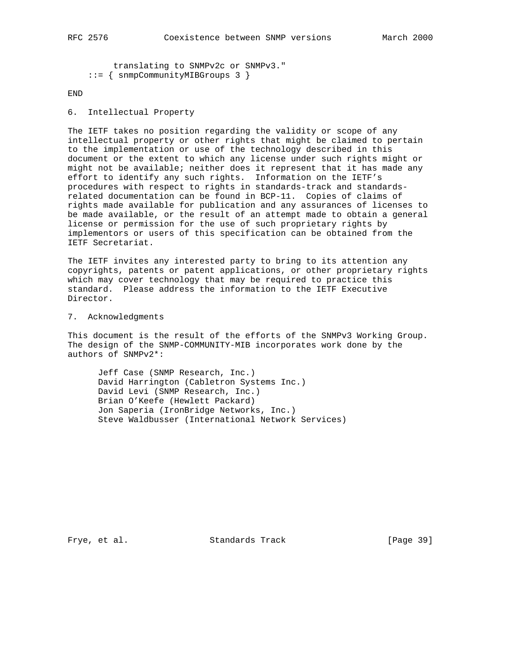```
 translating to SNMPv2c or SNMPv3."
 ::= { snmpCommunityMIBGroups 3 }
```
END

6. Intellectual Property

The IETF takes no position regarding the validity or scope of any intellectual property or other rights that might be claimed to pertain to the implementation or use of the technology described in this document or the extent to which any license under such rights might or might not be available; neither does it represent that it has made any effort to identify any such rights. Information on the IETF's procedures with respect to rights in standards-track and standardsrelated documentation can be found in BCP-11. Copies of claims of rights made available for publication and any assurances of licenses to be made available, or the result of an attempt made to obtain a general license or permission for the use of such proprietary rights by implementors or users of this specification can be obtained from the IETF Secretariat.

The IETF invites any interested party to bring to its attention any copyrights, patents or patent applications, or other proprietary rights which may cover technology that may be required to practice this standard. Please address the information to the IETF Executive Director.

### 7. Acknowledgments

This document is the result of the efforts of the SNMPv3 Working Group. The design of the SNMP-COMMUNITY-MIB incorporates work done by the authors of SNMPv2\*:

 Jeff Case (SNMP Research, Inc.) David Harrington (Cabletron Systems Inc.) David Levi (SNMP Research, Inc.) Brian O'Keefe (Hewlett Packard) Jon Saperia (IronBridge Networks, Inc.) Steve Waldbusser (International Network Services)

Frye, et al. Standards Track [Page 39]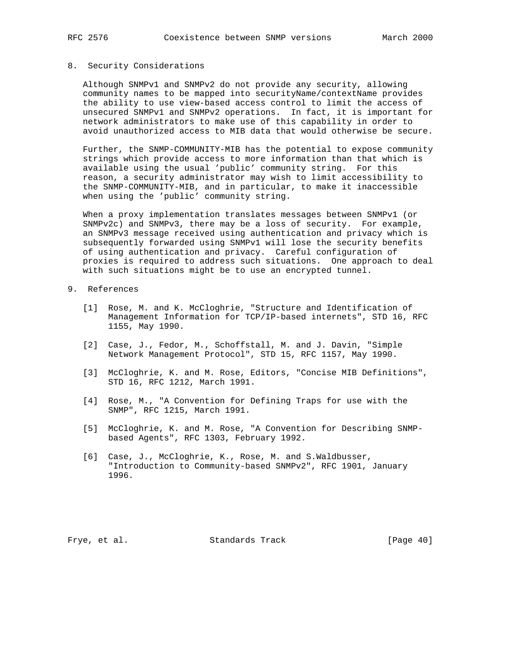### 8. Security Considerations

 Although SNMPv1 and SNMPv2 do not provide any security, allowing community names to be mapped into securityName/contextName provides the ability to use view-based access control to limit the access of unsecured SNMPv1 and SNMPv2 operations. In fact, it is important for network administrators to make use of this capability in order to avoid unauthorized access to MIB data that would otherwise be secure.

 Further, the SNMP-COMMUNITY-MIB has the potential to expose community strings which provide access to more information than that which is available using the usual 'public' community string. For this reason, a security administrator may wish to limit accessibility to the SNMP-COMMUNITY-MIB, and in particular, to make it inaccessible when using the 'public' community string.

 When a proxy implementation translates messages between SNMPv1 (or SNMPv2c) and SNMPv3, there may be a loss of security. For example, an SNMPv3 message received using authentication and privacy which is subsequently forwarded using SNMPv1 will lose the security benefits of using authentication and privacy. Careful configuration of proxies is required to address such situations. One approach to deal with such situations might be to use an encrypted tunnel.

## 9. References

- [1] Rose, M. and K. McCloghrie, "Structure and Identification of Management Information for TCP/IP-based internets", STD 16, RFC 1155, May 1990.
- [2] Case, J., Fedor, M., Schoffstall, M. and J. Davin, "Simple Network Management Protocol", STD 15, RFC 1157, May 1990.
- [3] McCloghrie, K. and M. Rose, Editors, "Concise MIB Definitions", STD 16, RFC 1212, March 1991.
- [4] Rose, M., "A Convention for Defining Traps for use with the SNMP", RFC 1215, March 1991.
- [5] McCloghrie, K. and M. Rose, "A Convention for Describing SNMP based Agents", RFC 1303, February 1992.
- [6] Case, J., McCloghrie, K., Rose, M. and S.Waldbusser, "Introduction to Community-based SNMPv2", RFC 1901, January 1996.

Frye, et al. Standards Track [Page 40]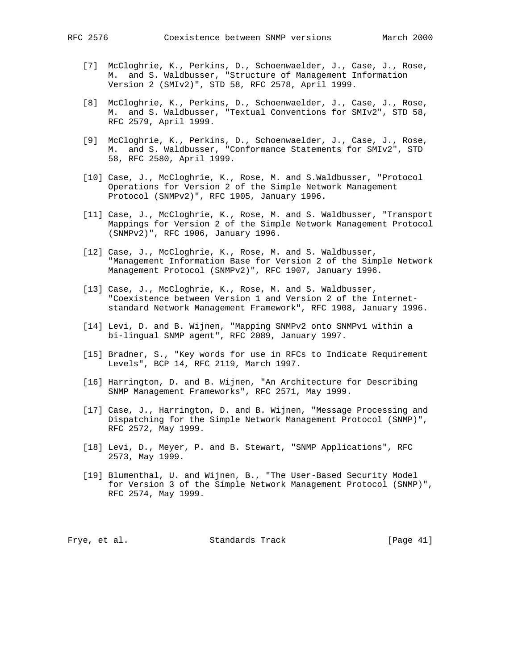- [7] McCloghrie, K., Perkins, D., Schoenwaelder, J., Case, J., Rose, M. and S. Waldbusser, "Structure of Management Information Version 2 (SMIv2)", STD 58, RFC 2578, April 1999.
- [8] McCloghrie, K., Perkins, D., Schoenwaelder, J., Case, J., Rose, M. and S. Waldbusser, "Textual Conventions for SMIv2", STD 58, RFC 2579, April 1999.
- [9] McCloghrie, K., Perkins, D., Schoenwaelder, J., Case, J., Rose, M. and S. Waldbusser, "Conformance Statements for SMIv2", STD 58, RFC 2580, April 1999.
- [10] Case, J., McCloghrie, K., Rose, M. and S.Waldbusser, "Protocol Operations for Version 2 of the Simple Network Management Protocol (SNMPv2)", RFC 1905, January 1996.
- [11] Case, J., McCloghrie, K., Rose, M. and S. Waldbusser, "Transport Mappings for Version 2 of the Simple Network Management Protocol (SNMPv2)", RFC 1906, January 1996.
- [12] Case, J., McCloghrie, K., Rose, M. and S. Waldbusser, "Management Information Base for Version 2 of the Simple Network Management Protocol (SNMPv2)", RFC 1907, January 1996.
- [13] Case, J., McCloghrie, K., Rose, M. and S. Waldbusser, "Coexistence between Version 1 and Version 2 of the Internet standard Network Management Framework", RFC 1908, January 1996.
- [14] Levi, D. and B. Wijnen, "Mapping SNMPv2 onto SNMPv1 within a bi-lingual SNMP agent", RFC 2089, January 1997.
- [15] Bradner, S., "Key words for use in RFCs to Indicate Requirement Levels", BCP 14, RFC 2119, March 1997.
- [16] Harrington, D. and B. Wijnen, "An Architecture for Describing SNMP Management Frameworks", RFC 2571, May 1999.
- [17] Case, J., Harrington, D. and B. Wijnen, "Message Processing and Dispatching for the Simple Network Management Protocol (SNMP)", RFC 2572, May 1999.
- [18] Levi, D., Meyer, P. and B. Stewart, "SNMP Applications", RFC 2573, May 1999.
- [19] Blumenthal, U. and Wijnen, B., "The User-Based Security Model for Version 3 of the Simple Network Management Protocol (SNMP)", RFC 2574, May 1999.

Frye, et al. Standards Track [Page 41]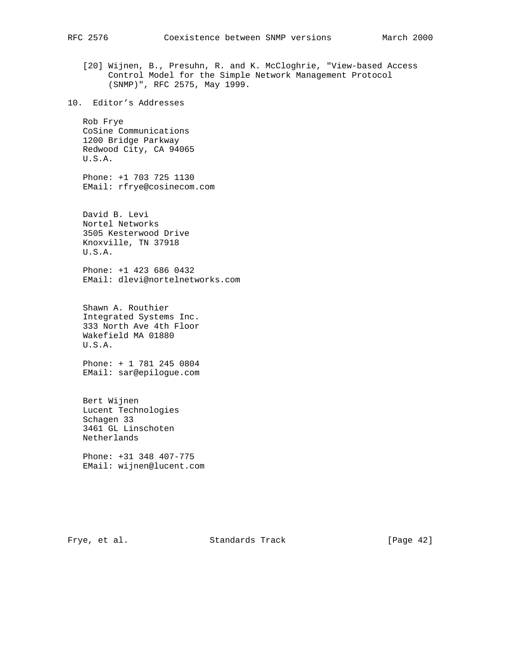- [20] Wijnen, B., Presuhn, R. and K. McCloghrie, "View-based Access Control Model for the Simple Network Management Protocol (SNMP)", RFC 2575, May 1999.
- 10. Editor's Addresses

 Rob Frye CoSine Communications 1200 Bridge Parkway Redwood City, CA 94065 U.S.A.

 Phone: +1 703 725 1130 EMail: rfrye@cosinecom.com

 David B. Levi Nortel Networks 3505 Kesterwood Drive Knoxville, TN 37918 U.S.A.

 Phone: +1 423 686 0432 EMail: dlevi@nortelnetworks.com

 Shawn A. Routhier Integrated Systems Inc. 333 North Ave 4th Floor Wakefield MA 01880 U.S.A.

 Phone: + 1 781 245 0804 EMail: sar@epilogue.com

 Bert Wijnen Lucent Technologies Schagen 33 3461 GL Linschoten Netherlands

 Phone: +31 348 407-775 EMail: wijnen@lucent.com

Frye, et al. Standards Track [Page 42]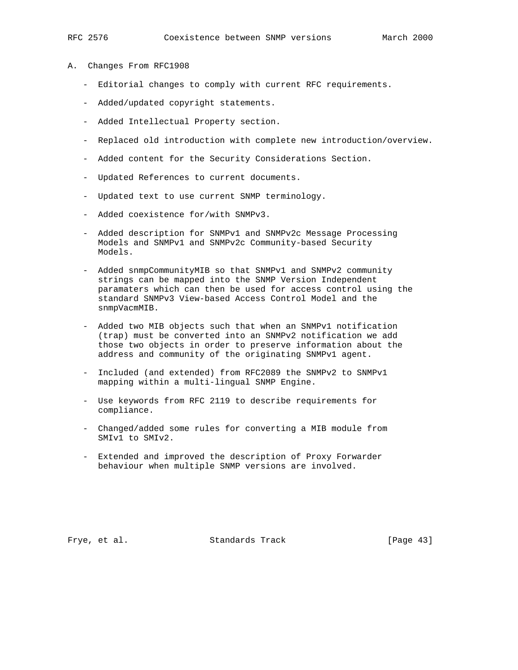- A. Changes From RFC1908
	- Editorial changes to comply with current RFC requirements.
	- Added/updated copyright statements.
	- Added Intellectual Property section.
	- Replaced old introduction with complete new introduction/overview.
	- Added content for the Security Considerations Section.
	- Updated References to current documents.
	- Updated text to use current SNMP terminology.
	- Added coexistence for/with SNMPv3.
	- Added description for SNMPv1 and SNMPv2c Message Processing Models and SNMPv1 and SNMPv2c Community-based Security Models.
	- Added snmpCommunityMIB so that SNMPv1 and SNMPv2 community strings can be mapped into the SNMP Version Independent paramaters which can then be used for access control using the standard SNMPv3 View-based Access Control Model and the snmpVacmMIB.
	- Added two MIB objects such that when an SNMPv1 notification (trap) must be converted into an SNMPv2 notification we add those two objects in order to preserve information about the address and community of the originating SNMPv1 agent.
	- Included (and extended) from RFC2089 the SNMPv2 to SNMPv1 mapping within a multi-lingual SNMP Engine.
	- Use keywords from RFC 2119 to describe requirements for compliance.
	- Changed/added some rules for converting a MIB module from SMIv1 to SMIv2.
	- Extended and improved the description of Proxy Forwarder behaviour when multiple SNMP versions are involved.

Frye, et al. Standards Track [Page 43]